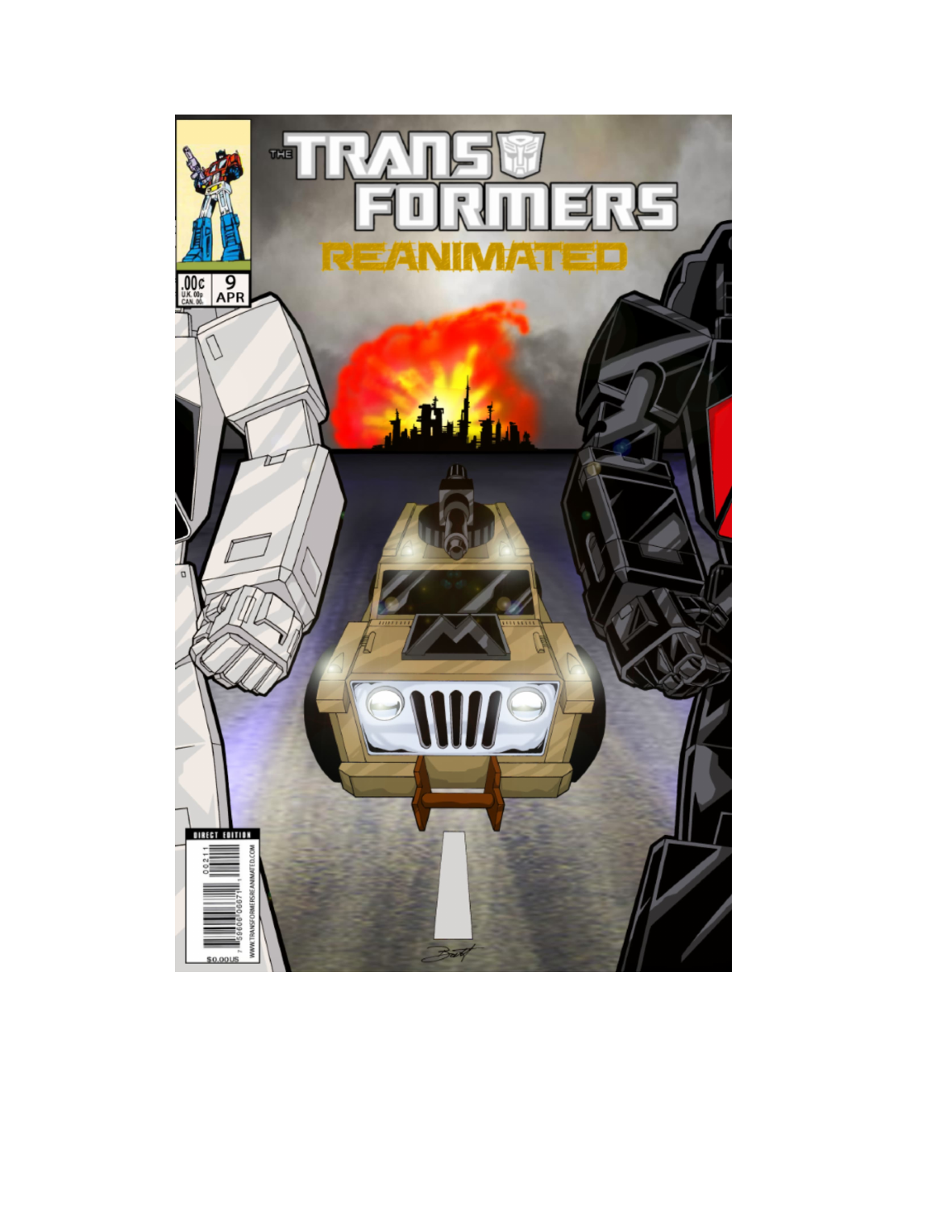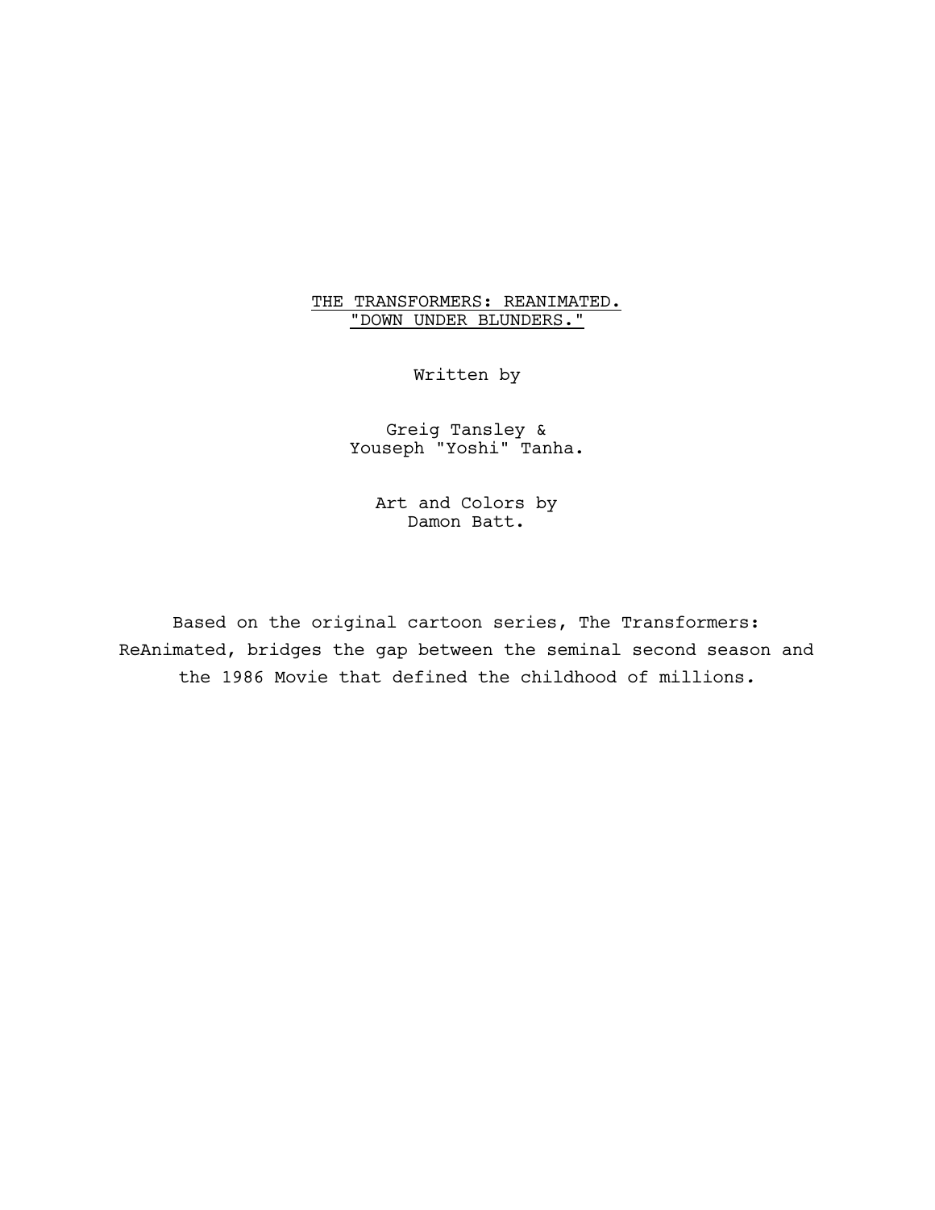# THE TRANSFORMERS: REANIMATED. "DOWN UNDER BLUNDERS."

Written by

Greig Tansley & Youseph "Yoshi" Tanha.

> Art and Colors by Damon Batt.

Based on the original cartoon series, The Transformers: ReAnimated, bridges the gap between the seminal second season and the 1986 Movie that defined the childhood of millions*.*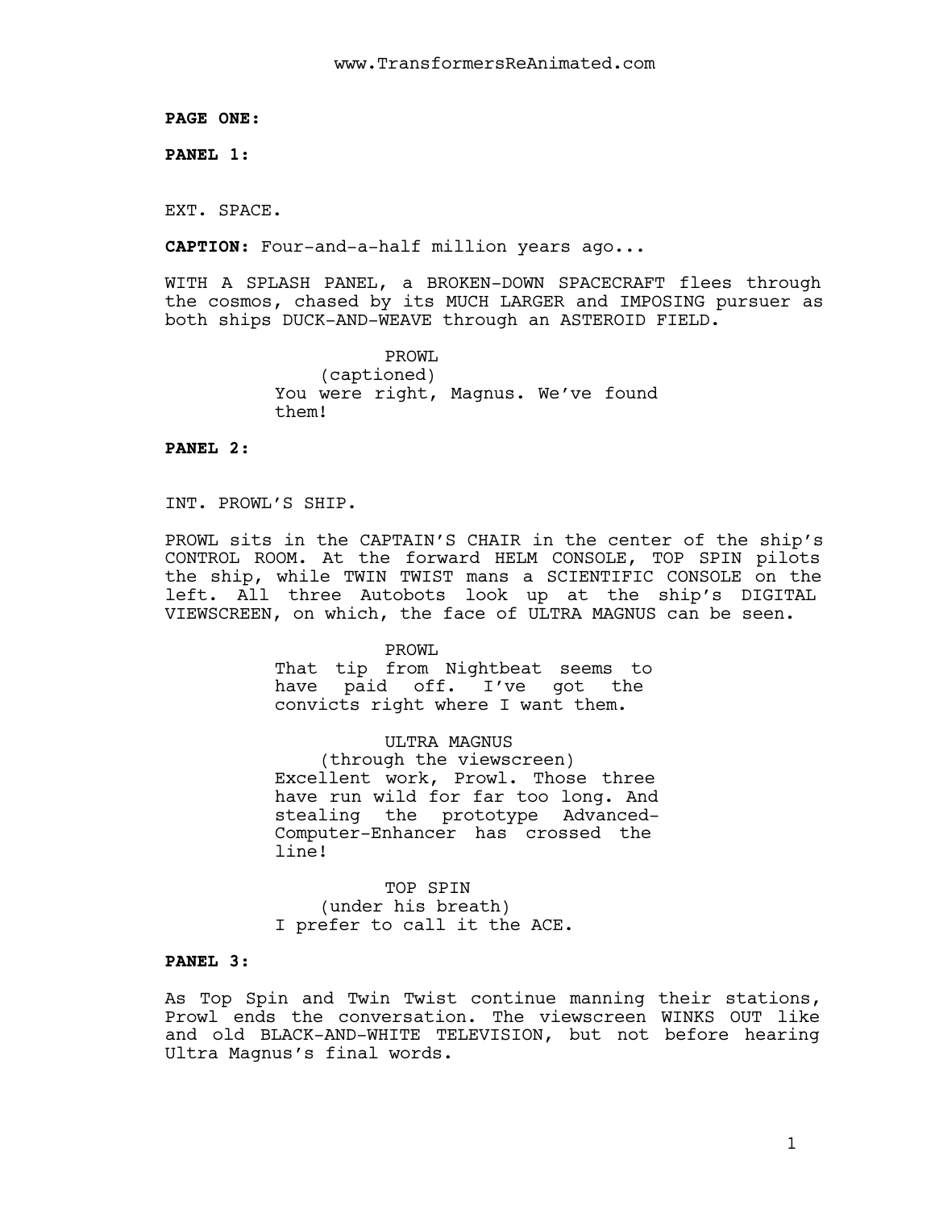**PAGE ONE:**

**PANEL 1:**

EXT. SPACE.

**CAPTION:** Four-and-a-half million years ago...

WITH A SPLASH PANEL, a BROKEN-DOWN SPACECRAFT flees through the cosmos, chased by its MUCH LARGER and IMPOSING pursuer as both ships DUCK-AND-WEAVE through an ASTEROID FIELD.

> PROWL (captioned) You were right, Magnus. We've found them!

**PANEL 2:**

INT. PROWL'S SHIP.

PROWL sits in the CAPTAIN'S CHAIR in the center of the ship's CONTROL ROOM. At the forward HELM CONSOLE, TOP SPIN pilots the ship, while TWIN TWIST mans a SCIENTIFIC CONSOLE on the left. All three Autobots look up at the ship's DIGITAL VIEWSCREEN, on which, the face of ULTRA MAGNUS can be seen.

> PROWL That tip from Nightbeat seems to have paid off. I've got the convicts right where I want them.

> ULTRA MAGNUS (through the viewscreen) Excellent work, Prowl. Those three have run wild for far too long. And stealing the prototype Advanced-Computer-Enhancer has crossed the line!

TOP SPIN (under his breath) I prefer to call it the ACE.

# **PANEL 3:**

As Top Spin and Twin Twist continue manning their stations, Prowl ends the conversation. The viewscreen WINKS OUT like and old BLACK-AND-WHITE TELEVISION, but not before hearing Ultra Magnus's final words.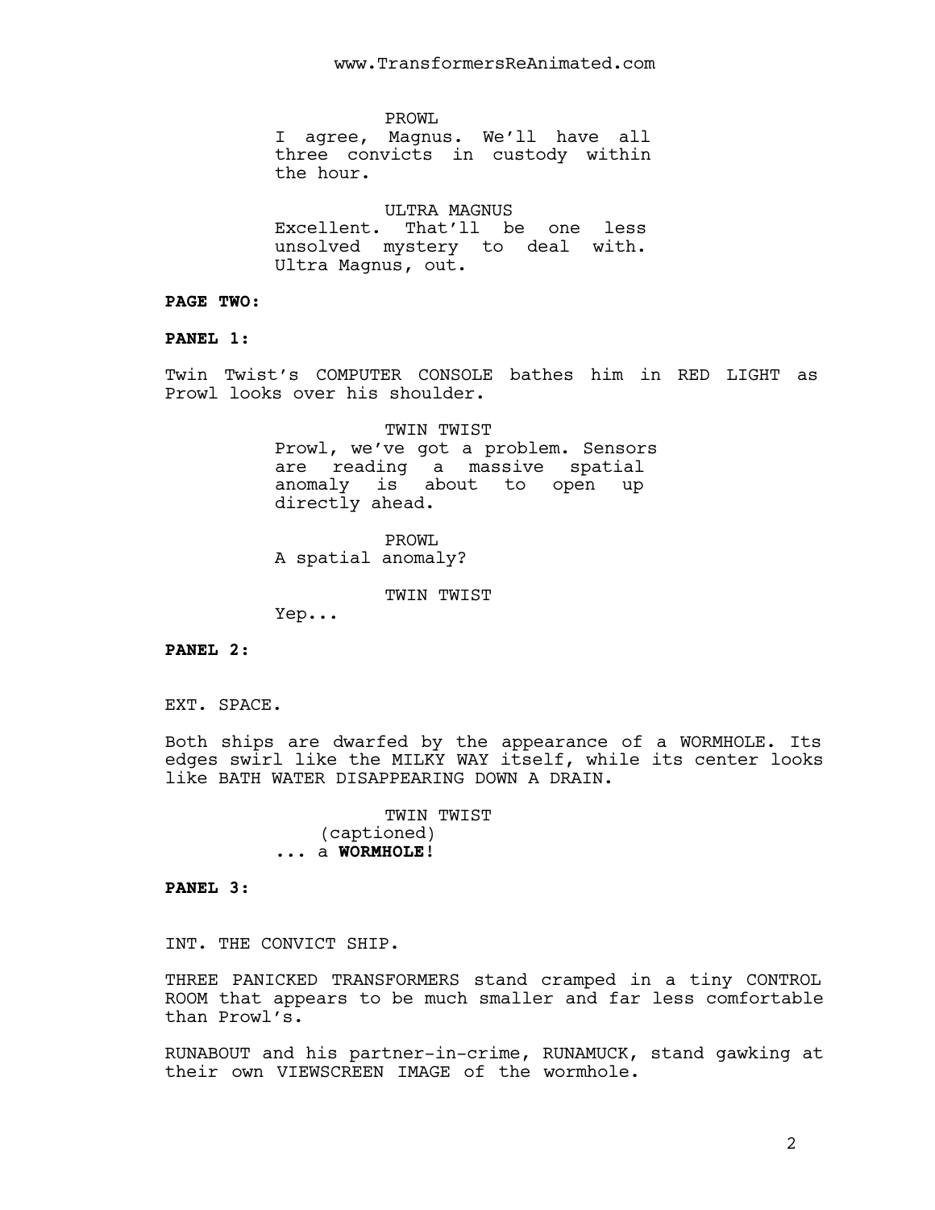PROWL

I agree, Magnus. We'll have all three convicts in custody within the hour.

ULTRA MAGNUS Excellent. That'll be one less unsolved mystery to deal with. Ultra Magnus, out.

### **PAGE TWO:**

# **PANEL 1:**

Twin Twist's COMPUTER CONSOLE bathes him in RED LIGHT as Prowl looks over his shoulder.

> TWIN TWIST Prowl, we've got a problem. Sensors are reading a massive spatial anomaly is about to open up directly ahead.

PROWL A spatial anomaly?

TWIN TWIST

Yep...

### **PANEL 2:**

EXT. SPACE.

Both ships are dwarfed by the appearance of a WORMHOLE. Its edges swirl like the MILKY WAY itself, while its center looks like BATH WATER DISAPPEARING DOWN A DRAIN.

> TWIN TWIST (captioned) ... a **WORMHOLE**!

**PANEL 3:**

INT. THE CONVICT SHIP.

THREE PANICKED TRANSFORMERS stand cramped in a tiny CONTROL ROOM that appears to be much smaller and far less comfortable than Prowl's.

RUNABOUT and his partner-in-crime, RUNAMUCK, stand gawking at their own VIEWSCREEN IMAGE of the wormhole.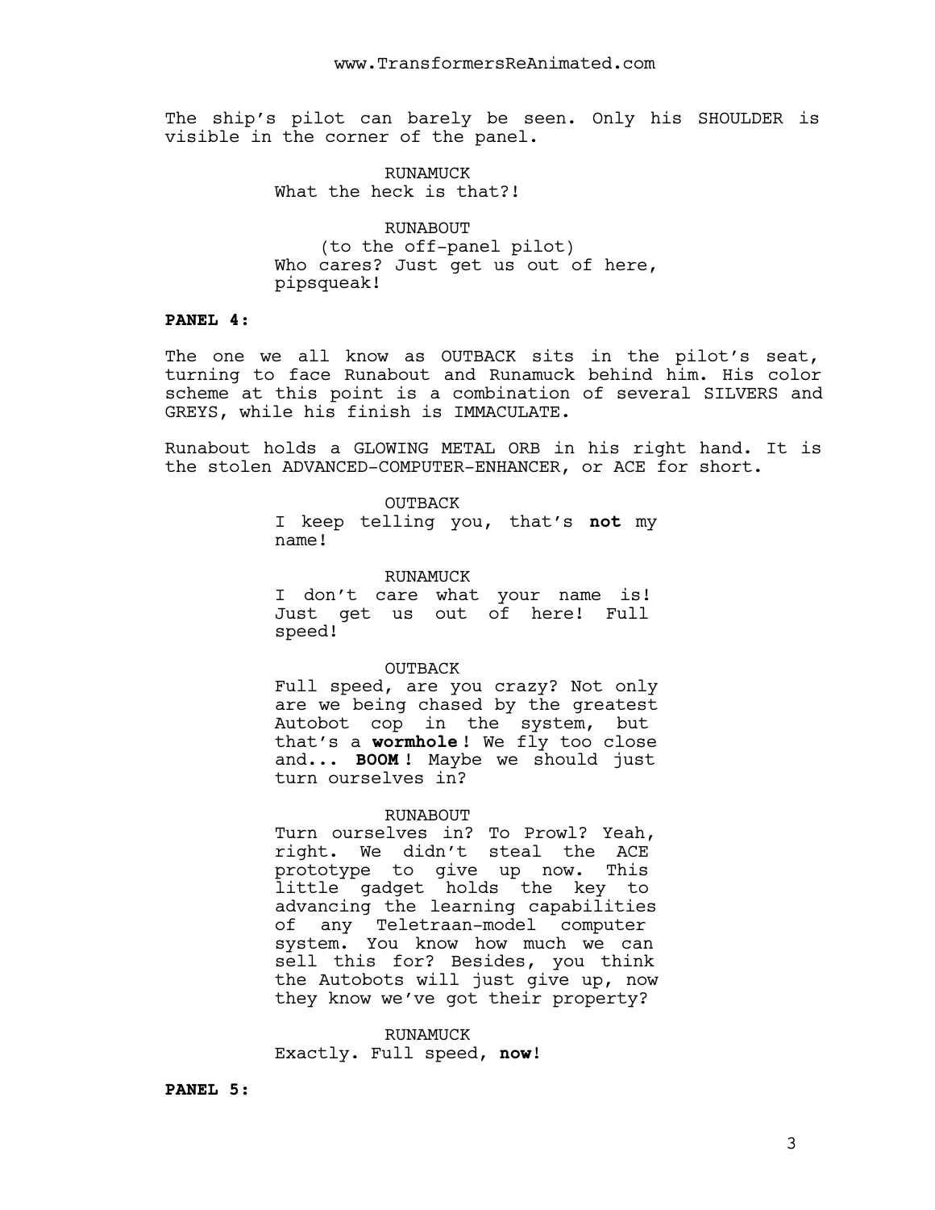The ship's pilot can barely be seen. Only his SHOULDER is visible in the corner of the panel.

> RUNAMUCK What the heck is that?!

RUNABOUT (to the off-panel pilot) Who cares? Just get us out of here, pipsqueak!

### **PANEL 4:**

The one we all know as OUTBACK sits in the pilot's seat, turning to face Runabout and Runamuck behind him. His color scheme at this point is a combination of several SILVERS and GREYS, while his finish is IMMACULATE.

Runabout holds a GLOWING METAL ORB in his right hand. It is the stolen ADVANCED-COMPUTER-ENHANCER, or ACE for short.

> OUTBACK I keep telling you, that's **not** my name!

> > RUNAMUCK

I don't care what your name is! Just get us out of here! Full speed!

#### OUTBACK

Full speed, are you crazy? Not only are we being chased by the greatest Autobot cop in the system, but that's a **wormhole** ! We fly too close and... **BOOM** ! Maybe we should just turn ourselves in?

#### RUNABOUT

Turn ourselves in? To Prowl? Yeah, right. We didn't steal the ACE prototype to give up now. This little gadget holds the key to advancing the learning capabilities of any Teletraan-model computer system. You know how much we can sell this for? Besides, you think the Autobots will just give up, now they know we've got their property?

RUNAMUCK Exactly. Full speed, **now**!

**PANEL 5:**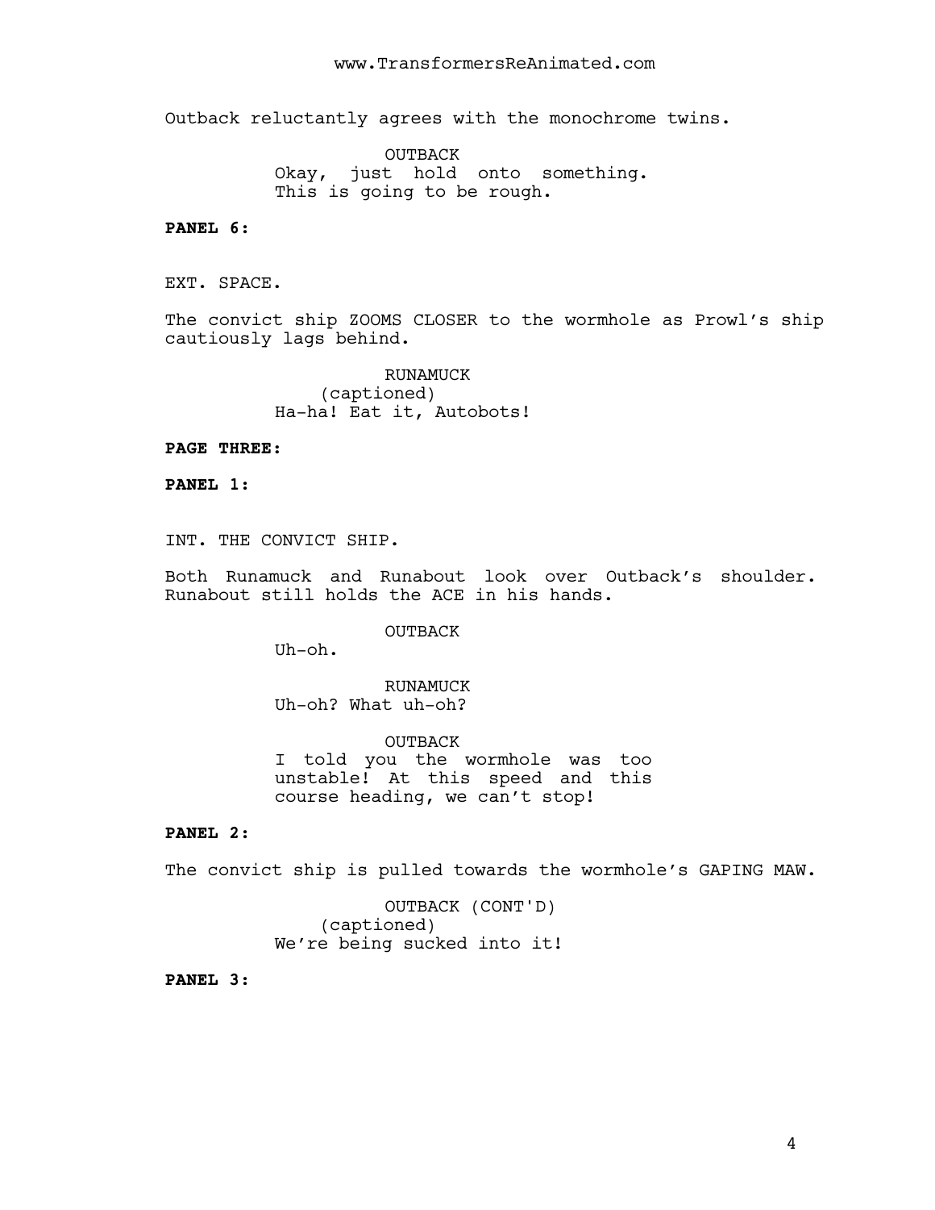Outback reluctantly agrees with the monochrome twins.

OUTBACK Okay, just hold onto something. This is going to be rough.

# **PANEL 6:**

EXT. SPACE.

The convict ship ZOOMS CLOSER to the wormhole as Prowl's ship cautiously lags behind.

> RUNAMUCK (captioned) Ha-ha! Eat it, Autobots!

### **PAGE THREE:**

**PANEL 1:**

INT. THE CONVICT SHIP.

Both Runamuck and Runabout look over Outback's shoulder. Runabout still holds the ACE in his hands.

OUTBACK

Uh-oh.

RUNAMUCK Uh-oh? What uh-oh?

OUTBACK I told you the wormhole was too unstable! At this speed and this course heading, we can't stop!

# **PANEL 2:**

The convict ship is pulled towards the wormhole's GAPING MAW.

OUTBACK (CONT'D) (captioned) We're being sucked into it!

**PANEL 3:**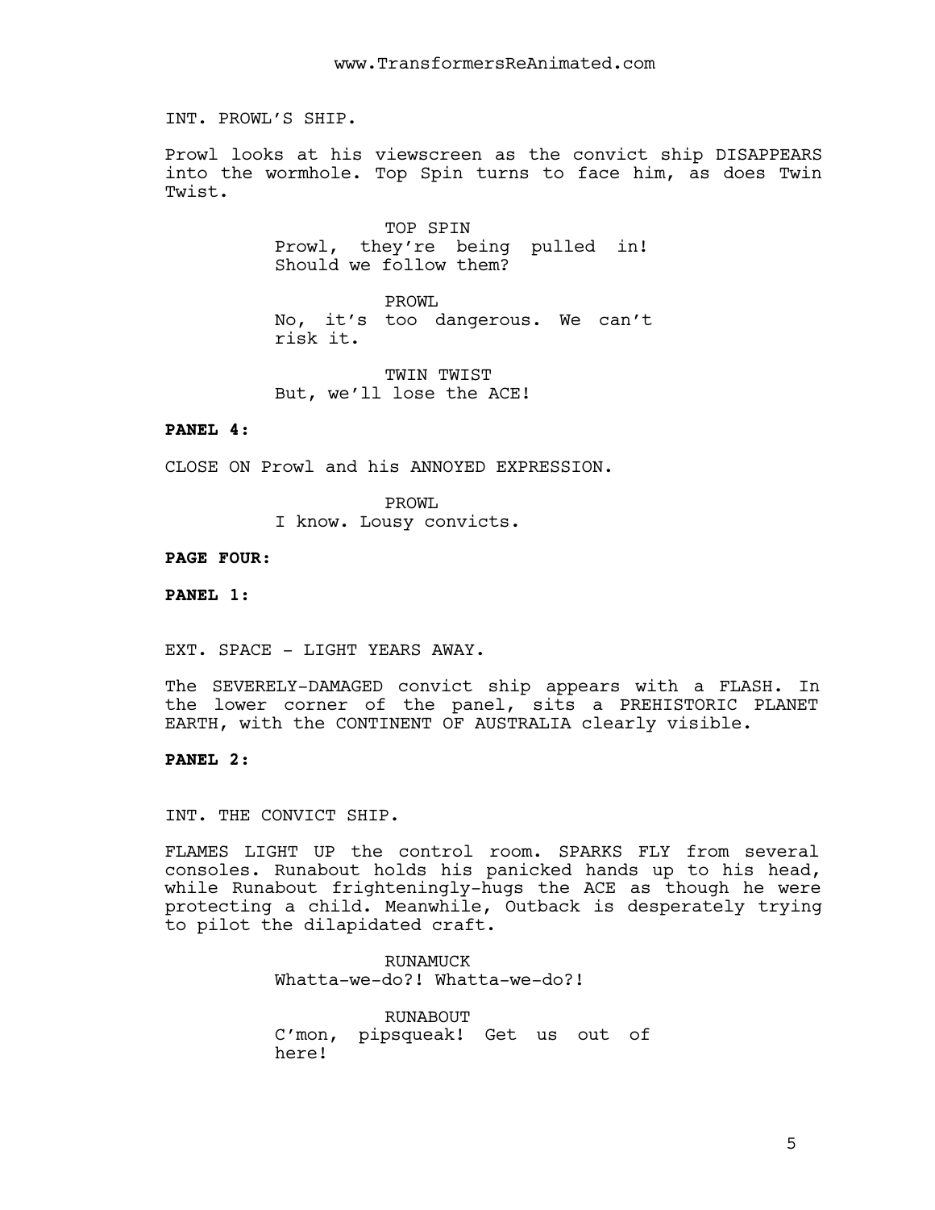INT. PROWL'S SHIP.

Prowl looks at his viewscreen as the convict ship DISAPPEARS into the wormhole. Top Spin turns to face him, as does Twin Twist.

> TOP SPIN Prowl, they're being pulled in! Should we follow them?

PROWL No, it's too dangerous. We can't risk it.

TWIN TWIST But, we'll lose the ACE!

#### **PANEL 4:**

CLOSE ON Prowl and his ANNOYED EXPRESSION.

PROWL I know. Lousy convicts.

**PAGE FOUR:**

**PANEL 1:**

EXT. SPACE - LIGHT YEARS AWAY.

The SEVERELY-DAMAGED convict ship appears with a FLASH. In the lower corner of the panel, sits a PREHISTORIC PLANET EARTH, with the CONTINENT OF AUSTRALIA clearly visible.

**PANEL 2:**

INT. THE CONVICT SHIP.

FLAMES LIGHT UP the control room. SPARKS FLY from several consoles. Runabout holds his panicked hands up to his head, while Runabout frighteningly-hugs the ACE as though he were protecting a child. Meanwhile, Outback is desperately trying to pilot the dilapidated craft.

> RUNAMUCK Whatta-we-do?! Whatta-we-do?!

RUNABOUT C'mon, pipsqueak! Get us out of here!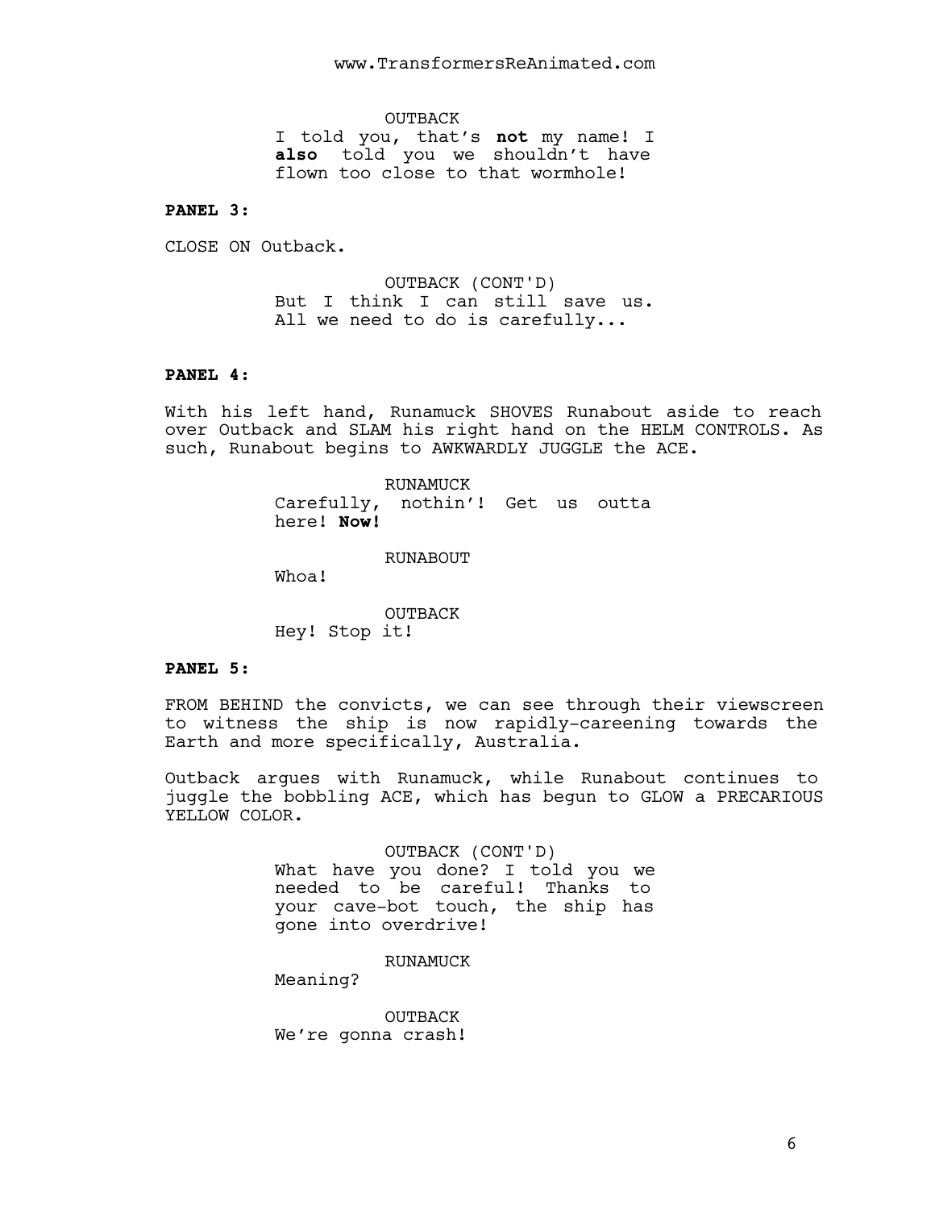OUTBACK I told you, that's **not** my name! I **also** told you we shouldn't have flown too close to that wormhole!

# **PANEL 3:**

CLOSE ON Outback.

OUTBACK (CONT'D) But I think I can still save us. All we need to do is carefully...

# **PANEL 4:**

With his left hand, Runamuck SHOVES Runabout aside to reach over Outback and SLAM his right hand on the HELM CONTROLS. As such, Runabout begins to AWKWARDLY JUGGLE the ACE.

> RUNAMUCK Carefully, nothin'! Get us outta here! **Now!**

> > RUNABOUT

Whoa!

OUTBACK Hey! Stop it!

# **PANEL 5:**

FROM BEHIND the convicts, we can see through their viewscreen to witness the ship is now rapidly-careening towards the Earth and more specifically, Australia.

Outback argues with Runamuck, while Runabout continues to juggle the bobbling ACE, which has begun to GLOW a PRECARIOUS YELLOW COLOR.

> OUTBACK (CONT'D) What have you done? I told you we needed to be careful! Thanks to your cave-bot touch, the ship has gone into overdrive!

> > RUNAMUCK

Meaning?

OUTBACK We're gonna crash!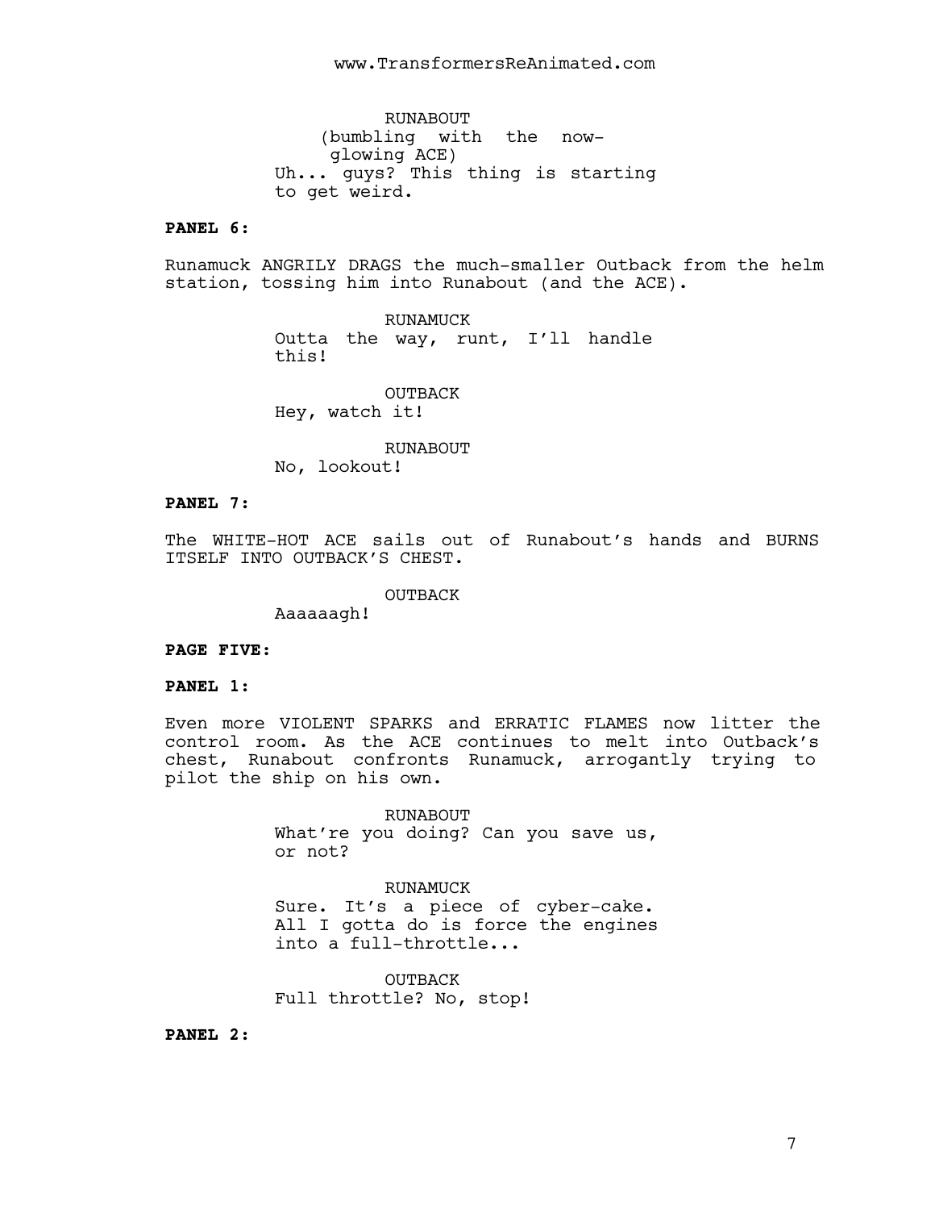RUNABOUT (bumbling with the nowglowing ACE) Uh... guys? This thing is starting to get weird.

# **PANEL 6:**

Runamuck ANGRILY DRAGS the much-smaller Outback from the helm station, tossing him into Runabout (and the ACE).

> RUNAMUCK Outta the way, runt, I'll handle this!

OUTBACK Hey, watch it!

RUNABOUT No, lookout!

### **PANEL 7:**

The WHITE-HOT ACE sails out of Runabout's hands and BURNS ITSELF INTO OUTBACK'S CHEST.

OUTBACK

Aaaaaagh!

#### **PAGE FIVE:**

**PANEL 1:**

Even more VIOLENT SPARKS and ERRATIC FLAMES now litter the control room. As the ACE continues to melt into Outback's chest, Runabout confronts Runamuck, arrogantly trying to pilot the ship on his own.

> RUNABOUT What're you doing? Can you save us, or not?

> RUNAMUCK Sure. It's a piece of cyber-cake. All I gotta do is force the engines into a full-throttle...

OUTBACK Full throttle? No, stop!

**PANEL 2:**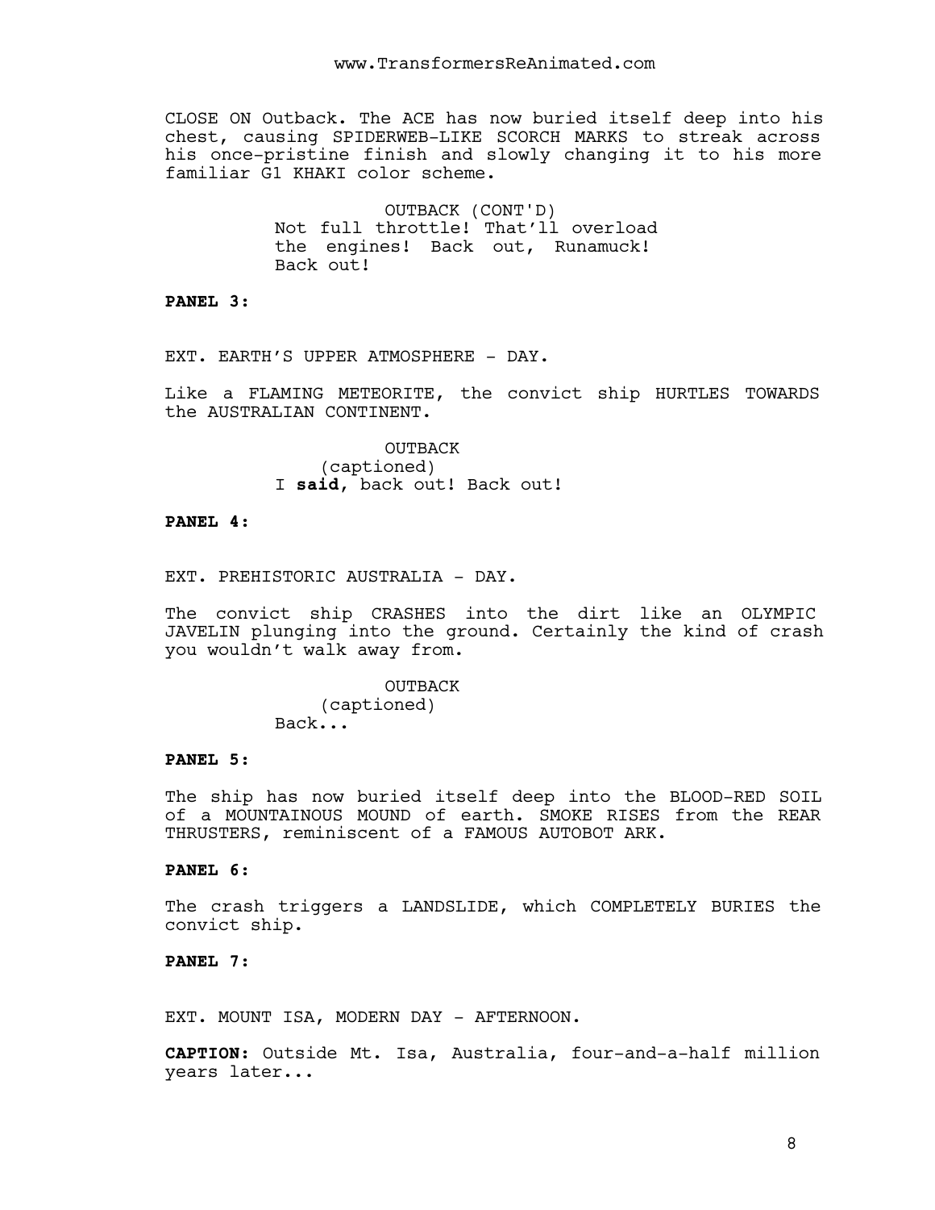CLOSE ON Outback. The ACE has now buried itself deep into his chest, causing SPIDERWEB-LIKE SCORCH MARKS to streak across his once-pristine finish and slowly changing it to his more familiar G1 KHAKI color scheme.

> OUTBACK (CONT'D) Not full throttle! That'll overload the engines! Back out, Runamuck! Back out!

**PANEL 3:**

EXT. EARTH'S UPPER ATMOSPHERE - DAY.

Like a FLAMING METEORITE, the convict ship HURTLES TOWARDS the AUSTRALIAN CONTINENT.

> OUTBACK (captioned) I **said**, back out! Back out!

### **PANEL 4:**

EXT. PREHISTORIC AUSTRALIA - DAY.

The convict ship CRASHES into the dirt like an OLYMPIC JAVELIN plunging into the ground. Certainly the kind of crash you wouldn't walk away from.

> OUTBACK (captioned) Back...

#### **PANEL 5:**

The ship has now buried itself deep into the BLOOD-RED SOIL of a MOUNTAINOUS MOUND of earth. SMOKE RISES from the REAR THRUSTERS, reminiscent of a FAMOUS AUTOBOT ARK.

# **PANEL 6:**

The crash triggers a LANDSLIDE, which COMPLETELY BURIES the convict ship.

**PANEL 7:**

EXT. MOUNT ISA, MODERN DAY - AFTERNOON.

**CAPTION:** Outside Mt. Isa, Australia, four-and-a-half million years later...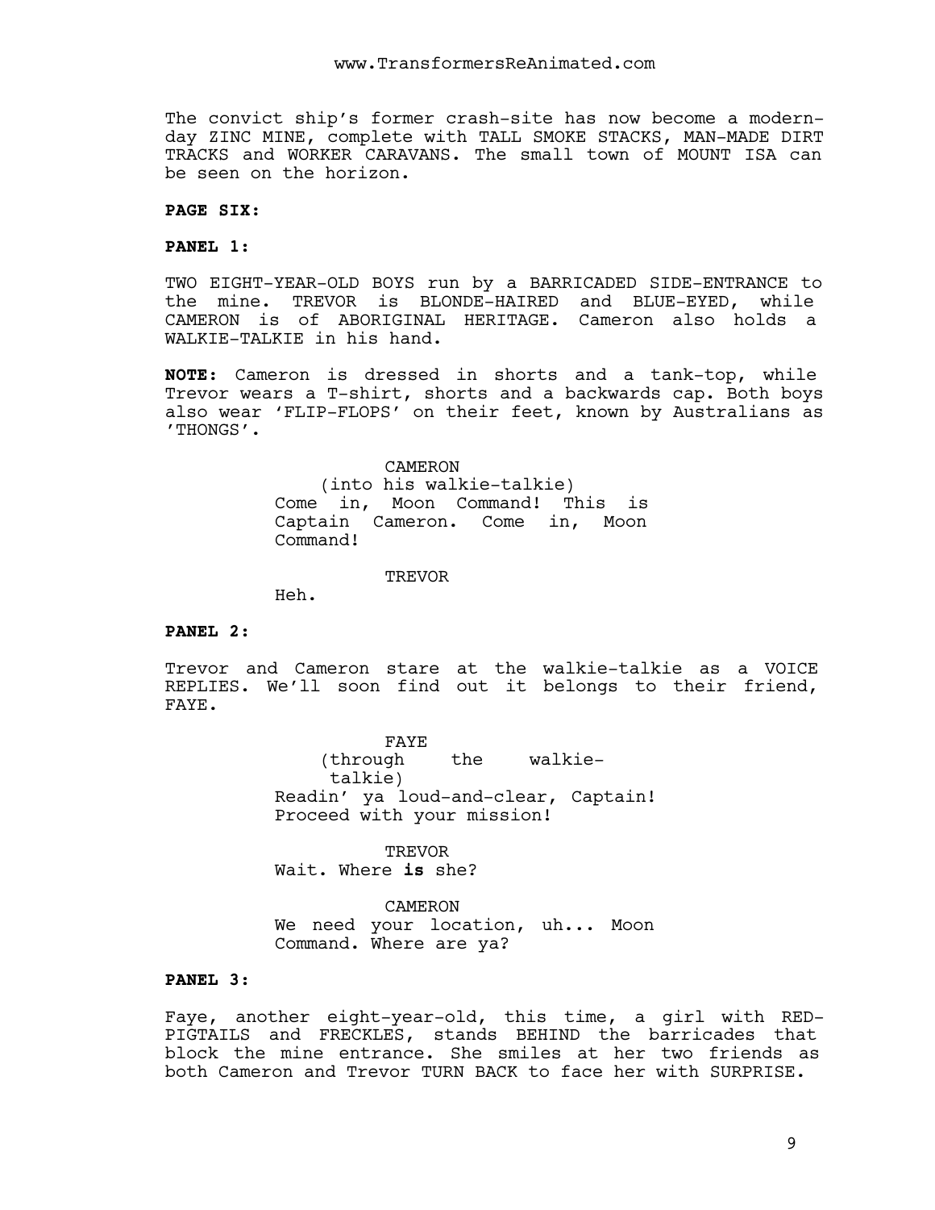The convict ship's former crash-site has now become a modernday ZINC MINE, complete with TALL SMOKE STACKS, MAN-MADE DIRT TRACKS and WORKER CARAVANS. The small town of MOUNT ISA can be seen on the horizon.

# **PAGE SIX:**

#### **PANEL 1:**

TWO EIGHT-YEAR-OLD BOYS run by a BARRICADED SIDE-ENTRANCE to the mine. TREVOR is BLONDE-HAIRED and BLUE-EYED, while CAMERON is of ABORIGINAL HERITAGE. Cameron also holds a WALKIE-TALKIE in his hand.

**NOTE:** Cameron is dressed in shorts and a tank-top, while Trevor wears a T-shirt, shorts and a backwards cap. Both boys also wear 'FLIP-FLOPS' on their feet, known by Australians as 'THONGS'.

> CAMERON (into his walkie-talkie) Come in, Moon Command! This is Captain Cameron. Come in, Moon Command!

> > **TREVOR**

Heh.

### **PANEL 2:**

Trevor and Cameron stare at the walkie-talkie as a VOICE REPLIES. We'll soon find out it belongs to their friend, FAYE.

> FAYE (through the walkietalkie) Readin' ya loud-and-clear, Captain! Proceed with your mission!

**TREVOR** Wait. Where **is** she?

CAMERON We need your location, uh... Moon Command. Where are ya?

# **PANEL 3:**

Faye, another eight-year-old, this time, a girl with RED-PIGTAILS and FRECKLES, stands BEHIND the barricades that block the mine entrance. She smiles at her two friends as both Cameron and Trevor TURN BACK to face her with SURPRISE.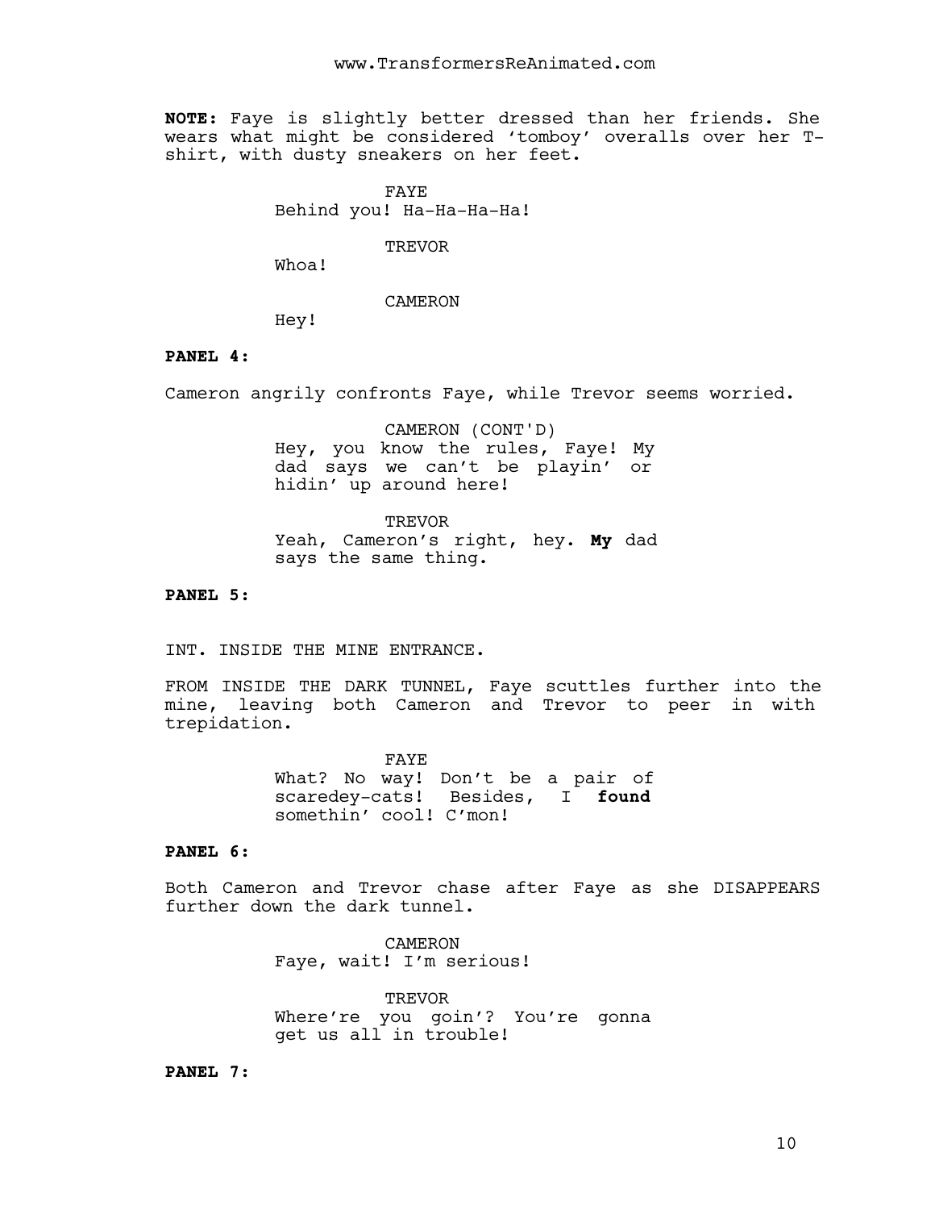**NOTE:** Faye is slightly better dressed than her friends. She wears what might be considered 'tomboy' overalls over her Tshirt, with dusty sneakers on her feet.

> FAYE Behind you! Ha-Ha-Ha-Ha!

> > **TREVOR**

Whoa!

CAMERON

Hey!

# **PANEL 4:**

Cameron angrily confronts Faye, while Trevor seems worried.

CAMERON (CONT'D) Hey, you know the rules, Faye! My dad says we can't be playin' or hidin' up around here!

**TREVOR** Yeah, Cameron's right, hey. **My** dad says the same thing.

### **PANEL 5:**

INT. INSIDE THE MINE ENTRANCE.

FROM INSIDE THE DARK TUNNEL, Faye scuttles further into the mine, leaving both Cameron and Trevor to peer in with trepidation.

> FAYE What? No way! Don't be a pair of scaredey-cats! Besides, I **found** somethin' cool! C'mon!

### **PANEL 6:**

Both Cameron and Trevor chase after Faye as she DISAPPEARS further down the dark tunnel.

> CAMERON Faye, wait! I'm serious!

TREVOR Where're you goin'? You're gonna get us all in trouble!

**PANEL 7:**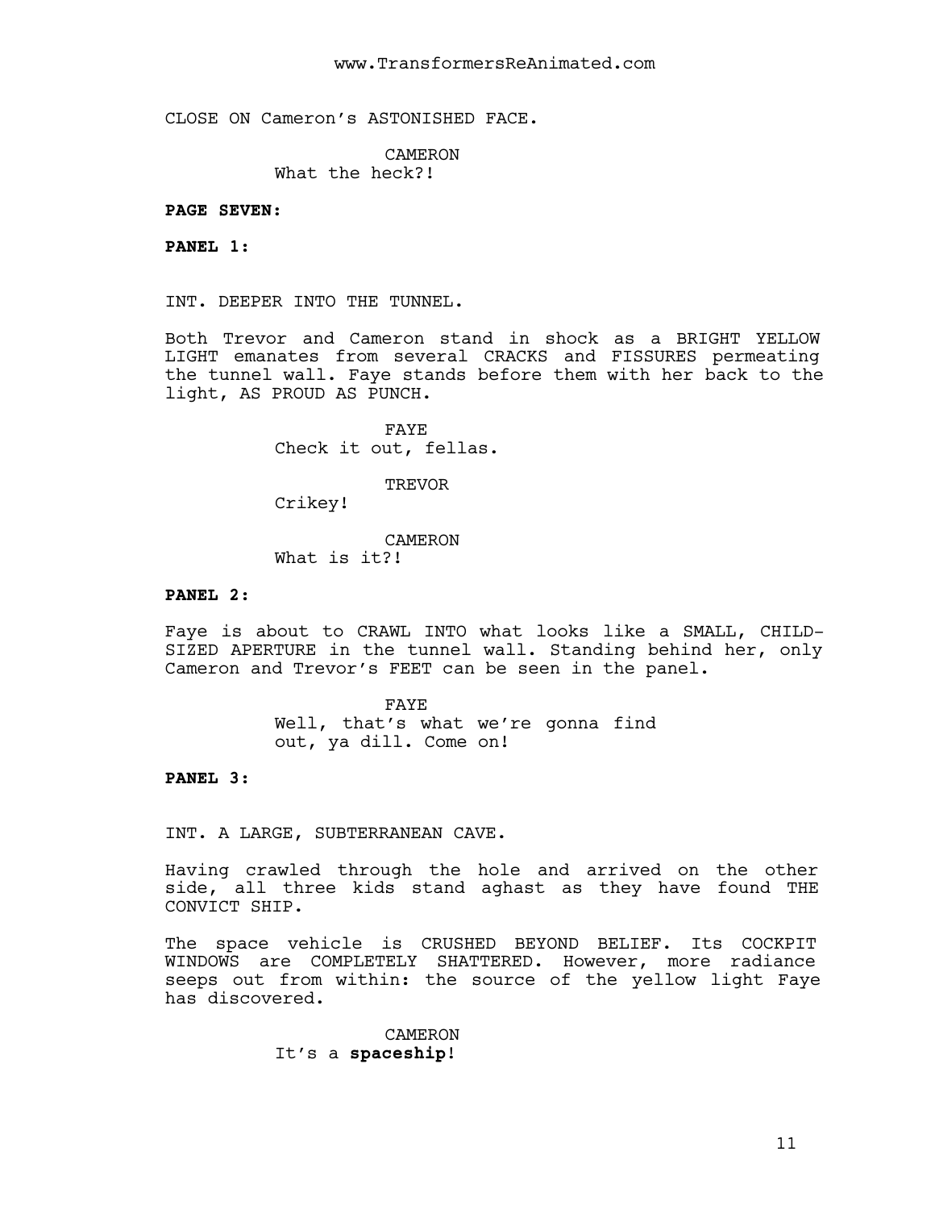CLOSE ON Cameron's ASTONISHED FACE.

CAMERON What the heck?!

**PAGE SEVEN:**

**PANEL 1:**

INT. DEEPER INTO THE TUNNEL.

Both Trevor and Cameron stand in shock as a BRIGHT YELLOW LIGHT emanates from several CRACKS and FISSURES permeating the tunnel wall. Faye stands before them with her back to the light, AS PROUD AS PUNCH.

> FAYE Check it out, fellas.

> > TREVOR

Crikey!

CAMERON What is it?!

### **PANEL 2:**

Faye is about to CRAWL INTO what looks like a SMALL, CHILD-SIZED APERTURE in the tunnel wall. Standing behind her, only Cameron and Trevor's FEET can be seen in the panel.

FAYE

Well, that's what we're gonna find out, ya dill. Come on!

**PANEL 3:**

INT. A LARGE, SUBTERRANEAN CAVE.

Having crawled through the hole and arrived on the other side, all three kids stand aghast as they have found THE CONVICT SHIP.

The space vehicle is CRUSHED BEYOND BELIEF. Its COCKPIT WINDOWS are COMPLETELY SHATTERED. However, more radiance seeps out from within: the source of the yellow light Faye has discovered.

> CAMERON It's a **spaceship**!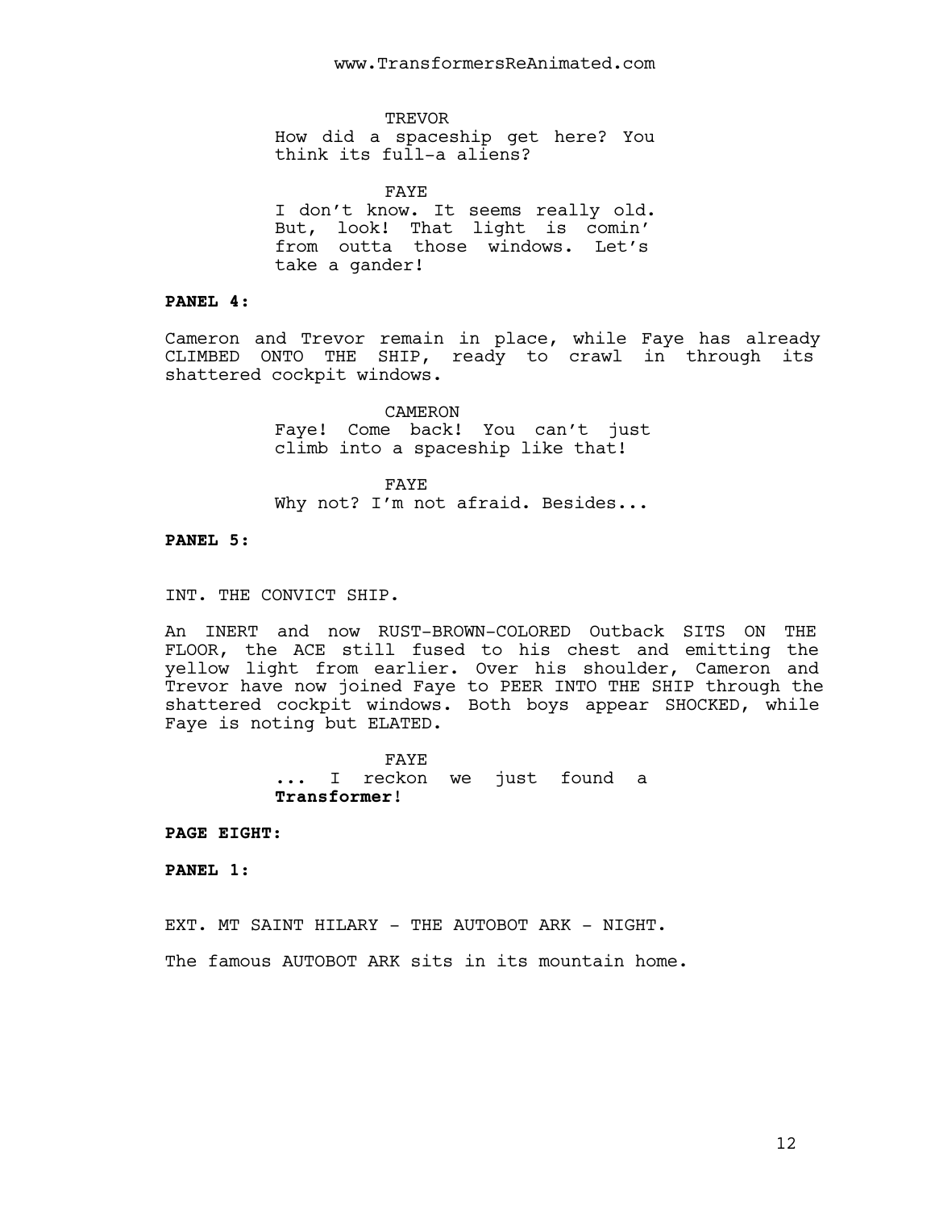**TREVOR** How did a spaceship get here? You think its full-a aliens?

FAYE I don't know. It seems really old. But, look! That light is comin' from outta those windows. Let's take a gander!

# **PANEL 4:**

Cameron and Trevor remain in place, while Faye has already CLIMBED ONTO THE SHIP, ready to crawl in through its shattered cockpit windows.

> CAMERON Faye! Come back! You can't just climb into a spaceship like that!

> FAYE Why not? I'm not afraid. Besides...

## **PANEL 5:**

INT. THE CONVICT SHIP.

An INERT and now RUST-BROWN-COLORED Outback SITS ON THE FLOOR, the ACE still fused to his chest and emitting the yellow light from earlier. Over his shoulder, Cameron and Trevor have now joined Faye to PEER INTO THE SHIP through the shattered cockpit windows. Both boys appear SHOCKED, while Faye is noting but ELATED.

> FAYE ... I reckon we just found a **Transformer**!

**PAGE EIGHT:**

**PANEL 1:**

EXT. MT SAINT HILARY - THE AUTOBOT ARK - NIGHT.

The famous AUTOBOT ARK sits in its mountain home.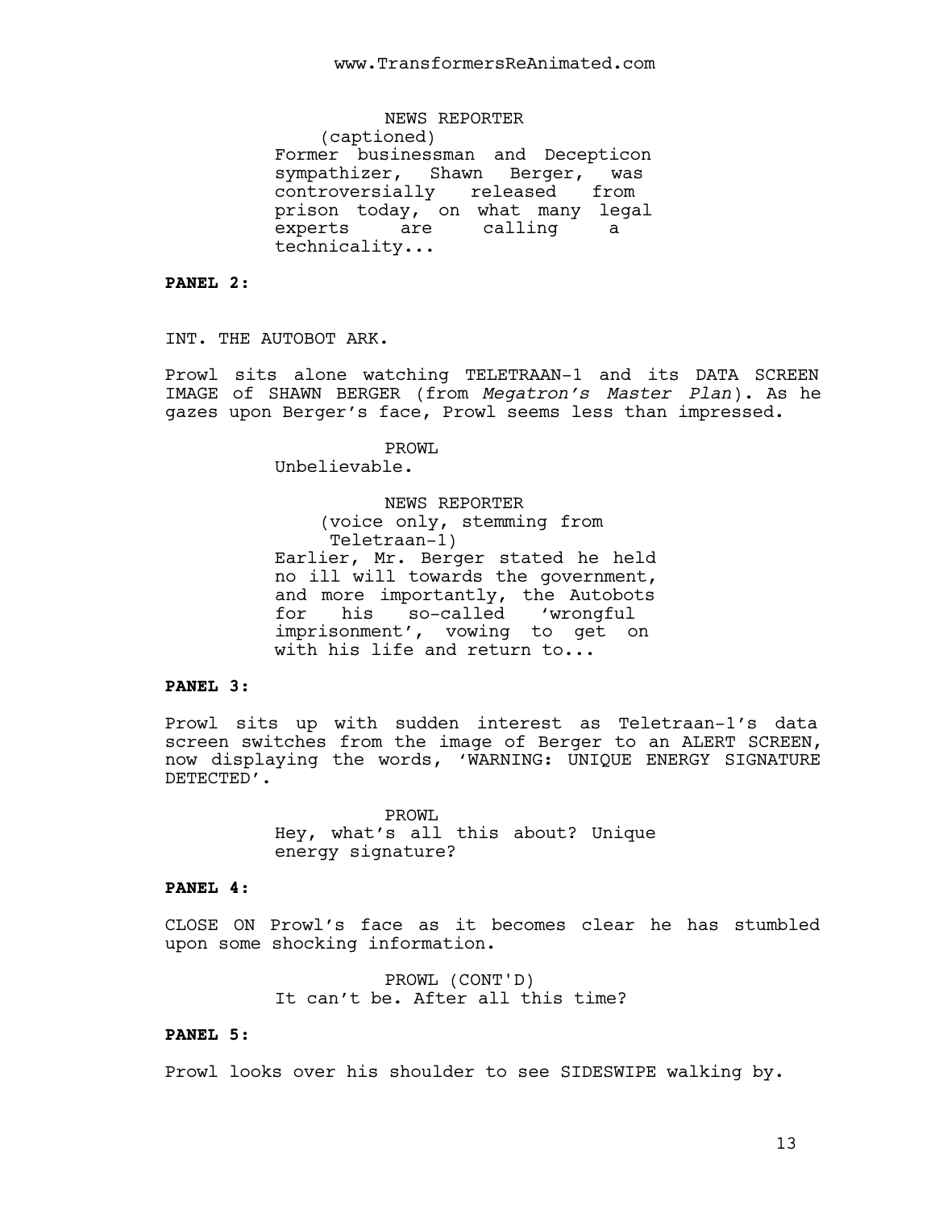NEWS REPORTER (captioned) Former businessman and Decepticon sympathizer, Shawn Berger, was controversially released from prison today, on what many legal<br>experts are calling a experts are calling technicality...

**PANEL 2:**

INT. THE AUTOBOT ARK.

Prowl sits alone watching TELETRAAN-1 and its DATA SCREEN IMAGE of SHAWN BERGER (from *Megatron's Master Plan*). As he gazes upon Berger's face, Prowl seems less than impressed.

PROWL

Unbelievable.

NEWS REPORTER

(voice only, stemming from Teletraan-1) Earlier, Mr. Berger stated he held no ill will towards the government, and more importantly, the Autobots for his so-called 'wrongful imprisonment', vowing to get on with his life and return to...

### **PANEL 3:**

Prowl sits up with sudden interest as Teletraan-1's data screen switches from the image of Berger to an ALERT SCREEN, now displaying the words, 'WARNING: UNIQUE ENERGY SIGNATURE DETECTED'.

> PROWL Hey, what's all this about? Unique energy signature?

#### **PANEL 4:**

CLOSE ON Prowl's face as it becomes clear he has stumbled upon some shocking information.

> PROWL (CONT'D) It can't be. After all this time?

### **PANEL 5:**

Prowl looks over his shoulder to see SIDESWIPE walking by.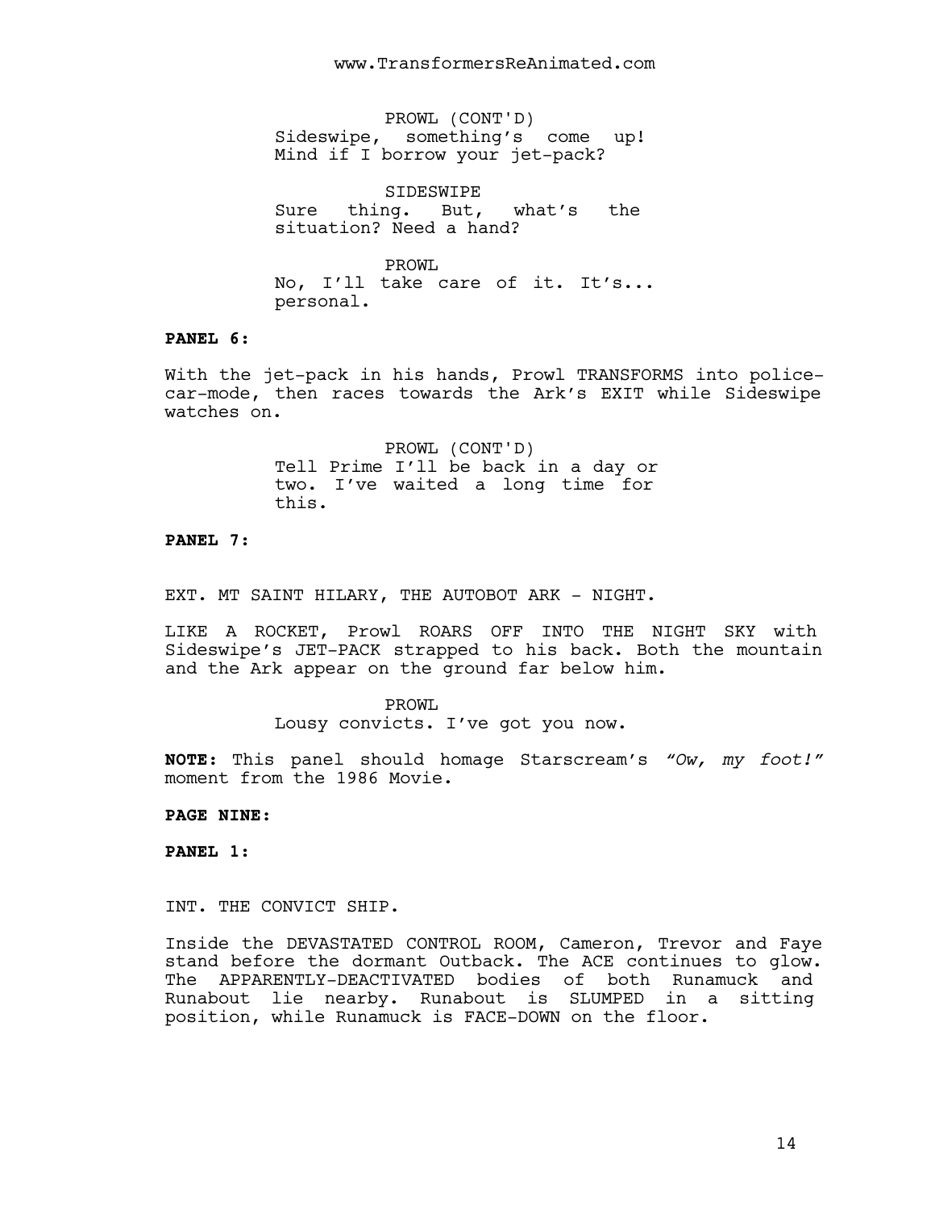PROWL (CONT'D) Sideswipe, something's come up! Mind if I borrow your jet-pack?

SIDESWIPE Sure thing. But, what's the situation? Need a hand?

PROWL.

No, I'll take care of it. It's... personal.

# **PANEL 6:**

With the jet-pack in his hands, Prowl TRANSFORMS into policecar-mode, then races towards the Ark's EXIT while Sideswipe watches on.

> PROWL (CONT'D) Tell Prime I'll be back in a day or two. I've waited a long time for this.

# **PANEL 7:**

EXT. MT SAINT HILARY, THE AUTOBOT ARK - NIGHT.

LIKE A ROCKET, Prowl ROARS OFF INTO THE NIGHT SKY with Sideswipe's JET-PACK strapped to his back. Both the mountain and the Ark appear on the ground far below him.

#### PROWL

Lousy convicts. I've got you now.

**NOTE:** This panel should homage Starscream's *"Ow, my foot!"* moment from the 1986 Movie.

# **PAGE NINE:**

**PANEL 1:**

# INT. THE CONVICT SHIP.

Inside the DEVASTATED CONTROL ROOM, Cameron, Trevor and Faye stand before the dormant Outback. The ACE continues to glow. The APPARENTLY-DEACTIVATED bodies of both Runamuck and Runabout lie nearby. Runabout is SLUMPED in a sitting position, while Runamuck is FACE-DOWN on the floor.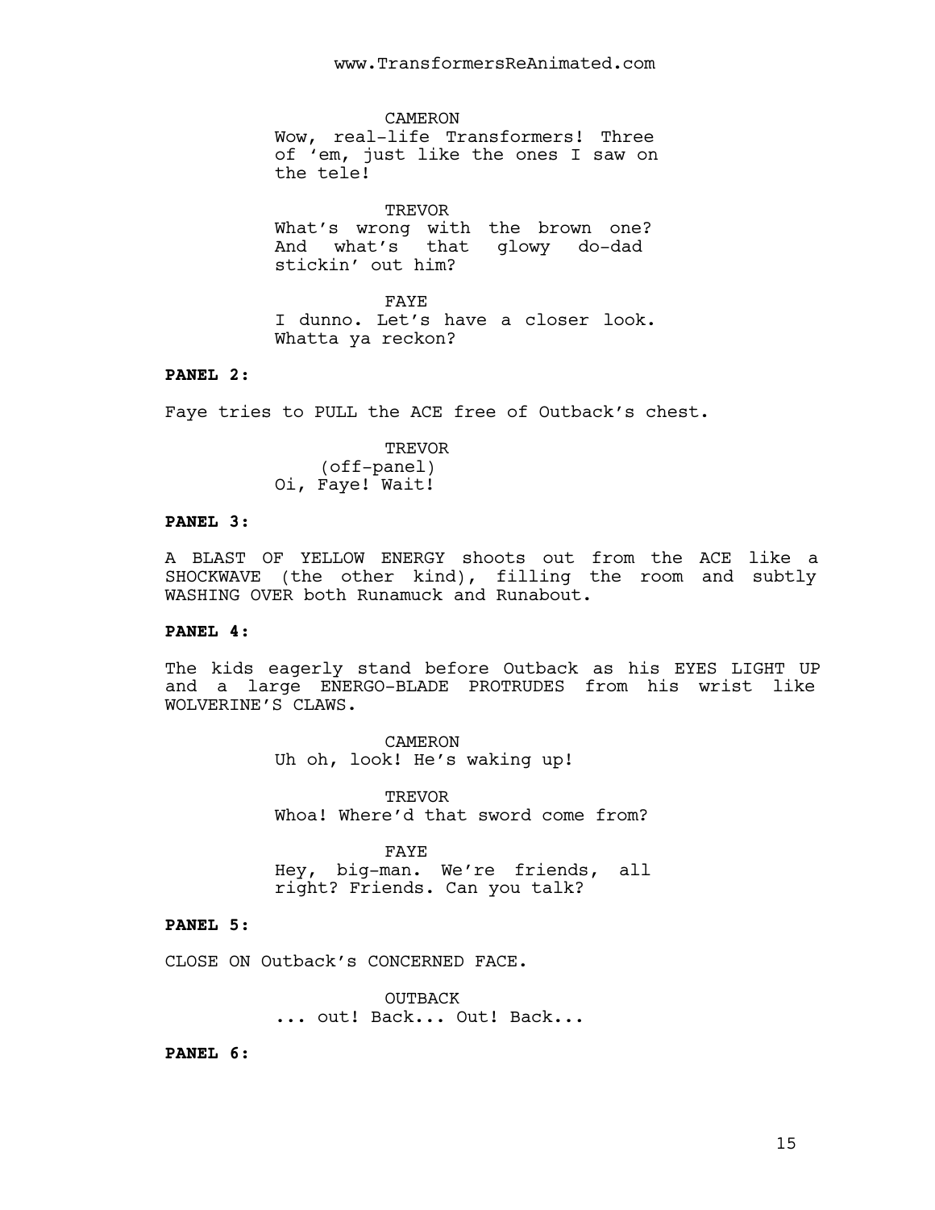CAMERON Wow, real-life Transformers! Three of 'em, just like the ones I saw on the tele!

**TREVOR** What's wrong with the brown one? And what's that glowy do-dad stickin' out him?

FAYE I dunno. Let's have a closer look. Whatta ya reckon?

### **PANEL 2:**

Faye tries to PULL the ACE free of Outback's chest.

**TREVOR** (off-panel) Oi, Faye! Wait!

### **PANEL 3:**

A BLAST OF YELLOW ENERGY shoots out from the ACE like a SHOCKWAVE (the other kind), filling the room and subtly WASHING OVER both Runamuck and Runabout.

# **PANEL 4:**

The kids eagerly stand before Outback as his EYES LIGHT UP and a large ENERGO-BLADE PROTRUDES from his wrist like WOLVERINE'S CLAWS.

> CAMERON Uh oh, look! He's waking up!

TREVOR Whoa! Where'd that sword come from?

FAYE Hey, big-man. We're friends, all right? Friends. Can you talk?

### **PANEL 5:**

CLOSE ON Outback's CONCERNED FACE.

OUTBACK ... out! Back... Out! Back...

**PANEL 6:**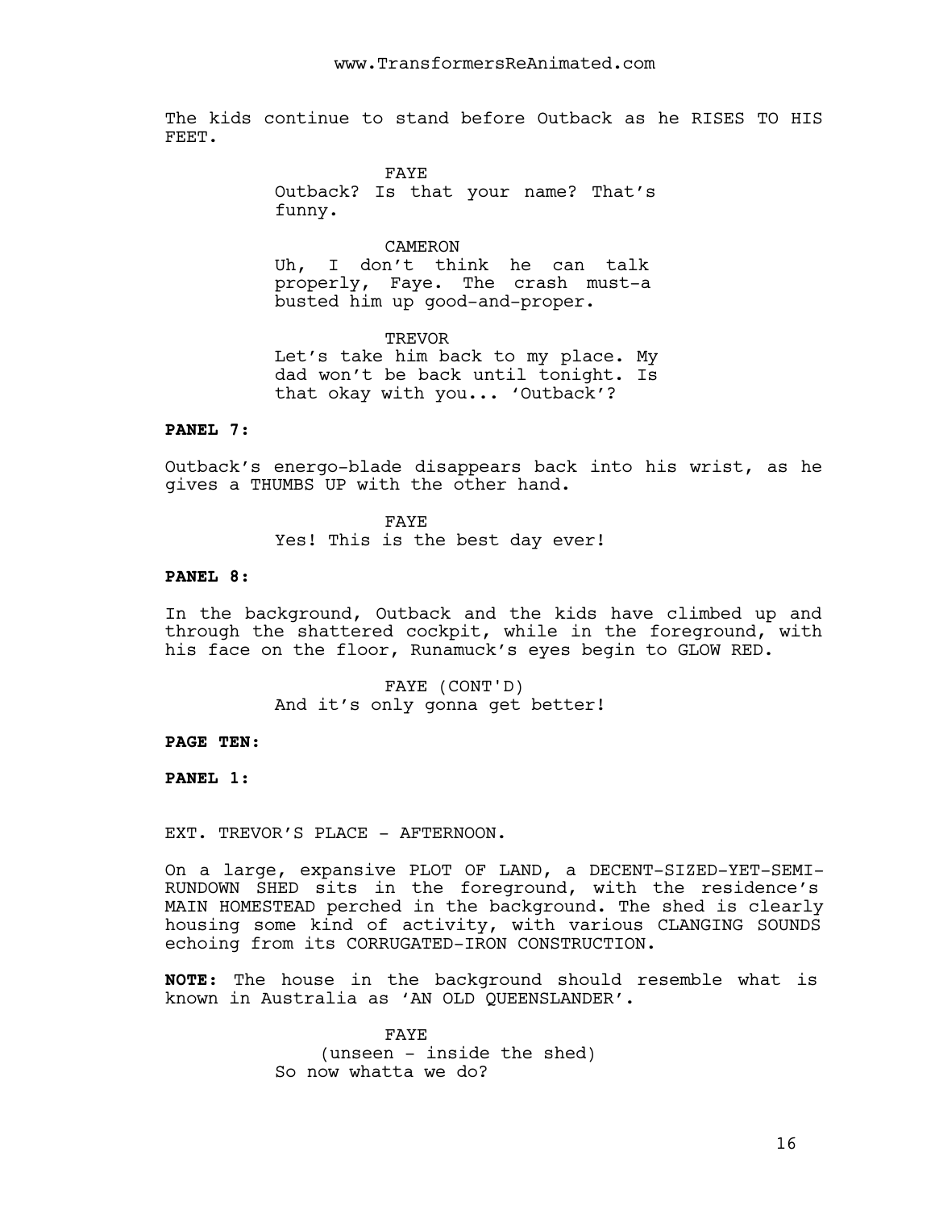The kids continue to stand before Outback as he RISES TO HIS FEET.

> FAYE Outback? Is that your name? That's funny.

> CAMERON Uh, I don't think he can talk properly, Faye. The crash must-a busted him up good-and-proper.

TREVOR Let's take him back to my place. My dad won't be back until tonight. Is that okay with you... 'Outback'?

### **PANEL 7:**

Outback's energo-blade disappears back into his wrist, as he gives a THUMBS UP with the other hand.

> FAYE Yes! This is the best day ever!

#### **PANEL 8:**

In the background, Outback and the kids have climbed up and through the shattered cockpit, while in the foreground, with his face on the floor, Runamuck's eyes begin to GLOW RED.

> FAYE (CONT'D) And it's only gonna get better!

# **PAGE TEN:**

**PANEL 1:**

EXT. TREVOR'S PLACE - AFTERNOON.

On a large, expansive PLOT OF LAND, a DECENT-SIZED-YET-SEMI-RUNDOWN SHED sits in the foreground, with the residence's MAIN HOMESTEAD perched in the background. The shed is clearly housing some kind of activity, with various CLANGING SOUNDS echoing from its CORRUGATED-IRON CONSTRUCTION.

**NOTE:** The house in the background should resemble what is known in Australia as 'AN OLD QUEENSLANDER'.

> FAYE (unseen - inside the shed) So now whatta we do?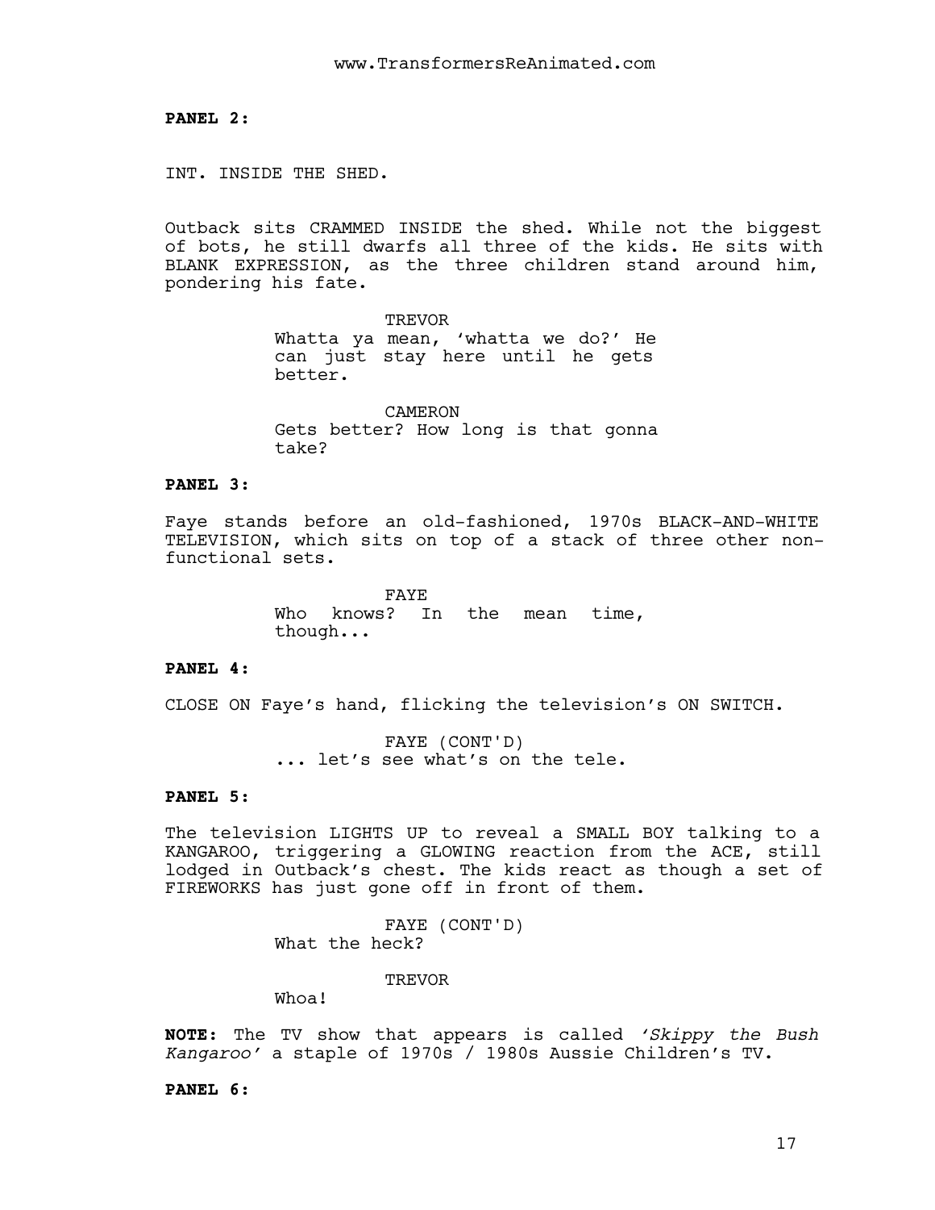**PANEL 2:**

INT. INSIDE THE SHED.

Outback sits CRAMMED INSIDE the shed. While not the biggest of bots, he still dwarfs all three of the kids. He sits with BLANK EXPRESSION, as the three children stand around him, pondering his fate.

> TREVOR Whatta ya mean, 'whatta we do?' He can just stay here until he gets better.

> CAMERON Gets better? How long is that gonna take?

#### **PANEL 3:**

Faye stands before an old-fashioned, 1970s BLACK-AND-WHITE TELEVISION, which sits on top of a stack of three other nonfunctional sets.

> FAYE Who knows? In the mean time, though...

#### **PANEL 4:**

CLOSE ON Faye's hand, flicking the television's ON SWITCH.

FAYE (CONT'D) ... let's see what's on the tele.

#### **PANEL 5:**

The television LIGHTS UP to reveal a SMALL BOY talking to a KANGAROO, triggering a GLOWING reaction from the ACE, still lodged in Outback's chest. The kids react as though a set of FIREWORKS has just gone off in front of them.

> FAYE (CONT'D) What the heck?

> > TREVOR

Whoa!

**NOTE:** The TV show that appears is called *'Skippy the Bush Kangaroo'* a staple of 1970s / 1980s Aussie Children's TV.

**PANEL 6:**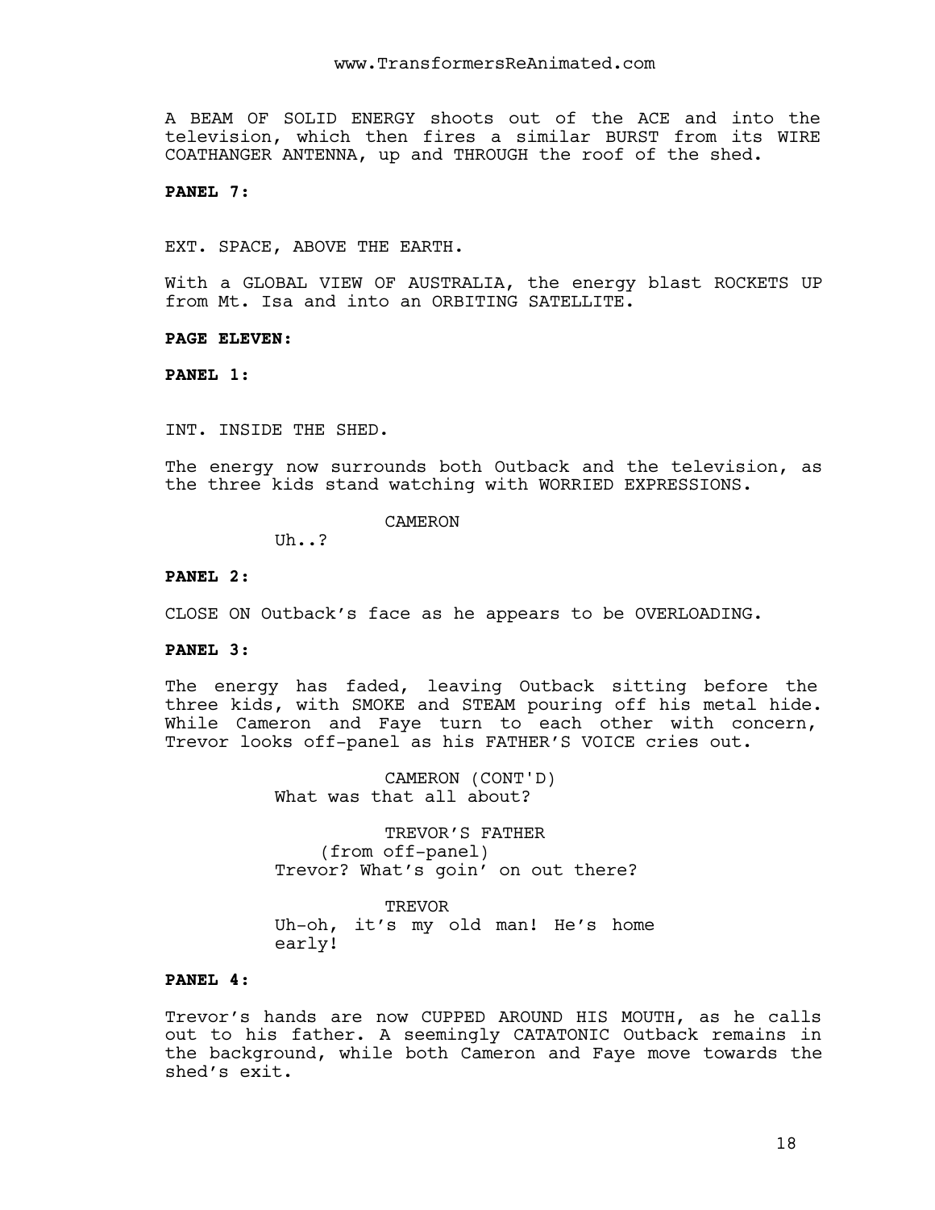A BEAM OF SOLID ENERGY shoots out of the ACE and into the television, which then fires a similar BURST from its WIRE COATHANGER ANTENNA, up and THROUGH the roof of the shed.

**PANEL 7:**

EXT. SPACE, ABOVE THE EARTH.

With a GLOBAL VIEW OF AUSTRALIA, the energy blast ROCKETS UP from Mt. Isa and into an ORBITING SATELLITE.

**PAGE ELEVEN:**

**PANEL 1:**

INT. INSIDE THE SHED.

The energy now surrounds both Outback and the television, as the three kids stand watching with WORRIED EXPRESSIONS.

CAMERON

Uh..?

#### **PANEL 2:**

CLOSE ON Outback's face as he appears to be OVERLOADING.

#### **PANEL 3:**

The energy has faded, leaving Outback sitting before the three kids, with SMOKE and STEAM pouring off his metal hide. While Cameron and Faye turn to each other with concern, Trevor looks off-panel as his FATHER'S VOICE cries out.

> CAMERON (CONT'D) What was that all about?

TREVOR'S FATHER (from off-panel) Trevor? What's goin' on out there?

**TREVOR** Uh-oh, it's my old man! He's home early!

# **PANEL 4:**

Trevor's hands are now CUPPED AROUND HIS MOUTH, as he calls out to his father. A seemingly CATATONIC Outback remains in the background, while both Cameron and Faye move towards the shed's exit.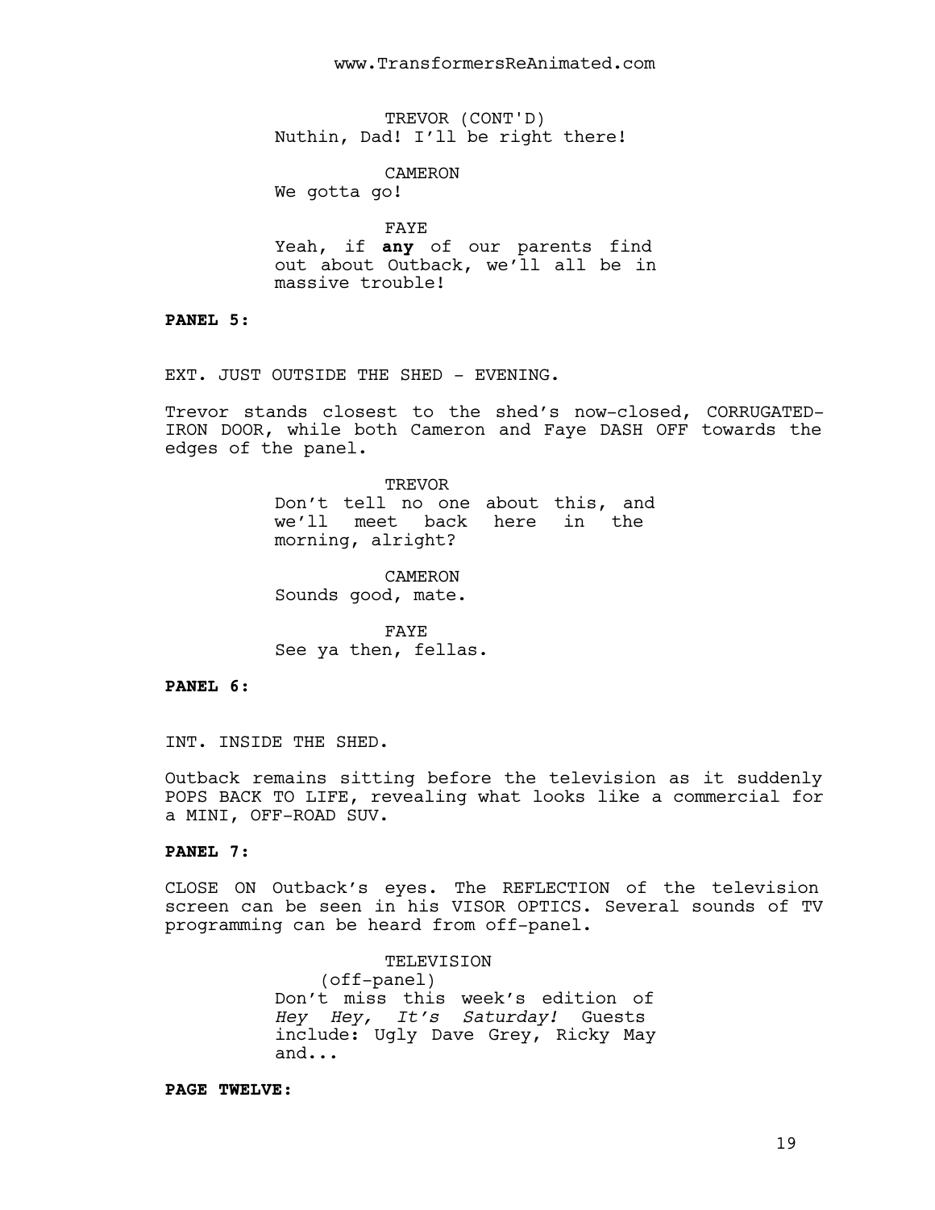## www.TransformersReAnimated.com

TREVOR (CONT'D) Nuthin, Dad! I'll be right there!

CAMERON

We gotta go!

FAYE

Yeah, if **any** of our parents find out about Outback, we'll all be in massive trouble!

**PANEL 5:**

EXT. JUST OUTSIDE THE SHED - EVENING.

Trevor stands closest to the shed's now-closed, CORRUGATED-IRON DOOR, while both Cameron and Faye DASH OFF towards the edges of the panel.

> TREVOR Don't tell no one about this, and we'll meet back here in the morning, alright?

CAMERON Sounds good, mate.

FAYE See ya then, fellas.

**PANEL 6:**

INT. INSIDE THE SHED.

Outback remains sitting before the television as it suddenly POPS BACK TO LIFE, revealing what looks like a commercial for a MINI, OFF-ROAD SUV.

### **PANEL 7:**

CLOSE ON Outback's eyes. The REFLECTION of the television screen can be seen in his VISOR OPTICS. Several sounds of TV programming can be heard from off-panel.

> TELEVISION (off-panel) Don't miss this week's edition of *Hey Hey, It's Saturday!* Guests include: Ugly Dave Grey, Ricky May and...

**PAGE TWELVE:**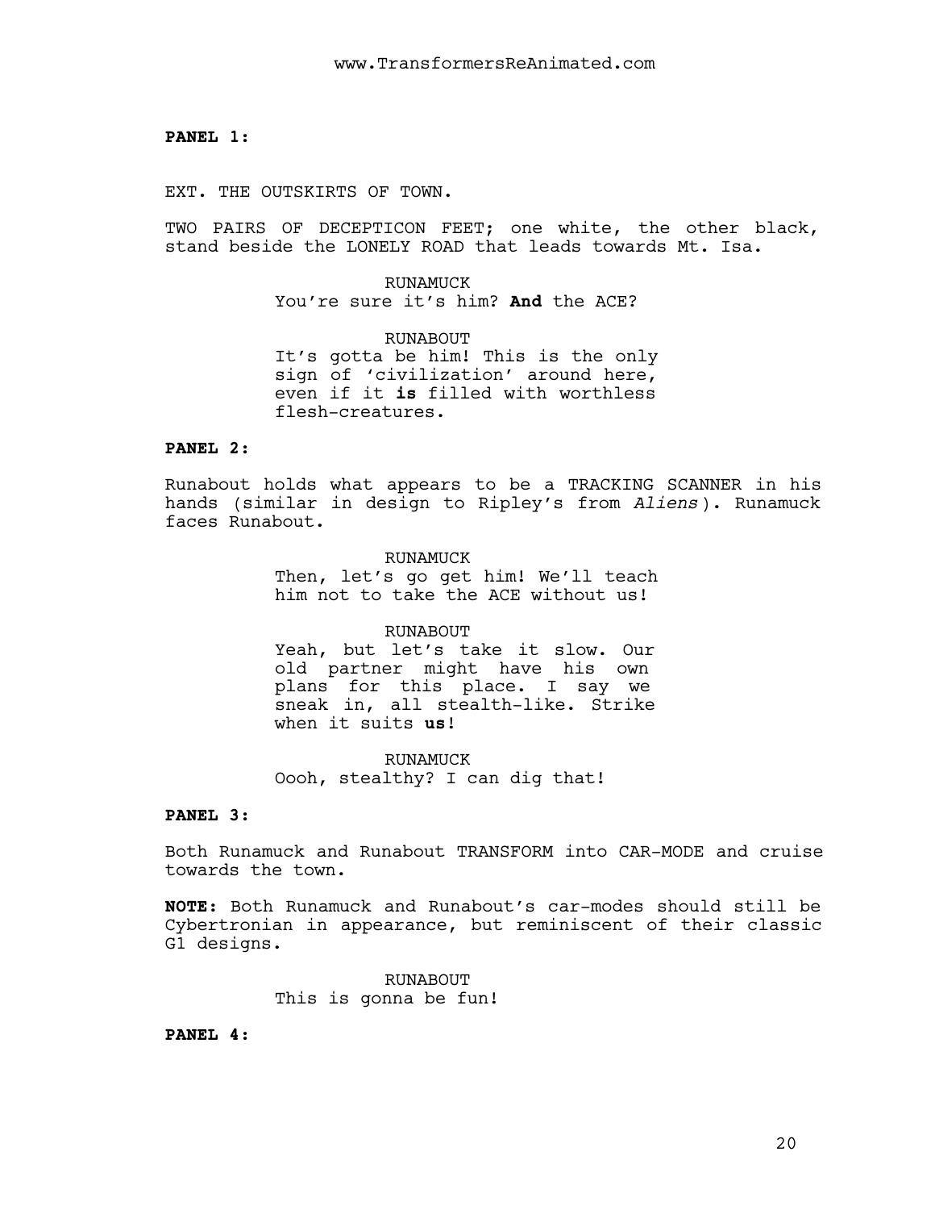#### **PANEL 1:**

EXT. THE OUTSKIRTS OF TOWN.

TWO PAIRS OF DECEPTICON FEET; one white, the other black, stand beside the LONELY ROAD that leads towards Mt. Isa.

> RUNAMUCK You're sure it's him? **And** the ACE?

RUNABOUT It's gotta be him! This is the only sign of 'civilization' around here, even if it **is** filled with worthless flesh-creatures.

# **PANEL 2:**

Runabout holds what appears to be a TRACKING SCANNER in his hands (similar in design to Ripley's from *Aliens*). Runamuck faces Runabout.

> RUNAMUCK Then, let's go get him! We'll teach him not to take the ACE without us!

> RUNABOUT Yeah, but let's take it slow. Our old partner might have his own plans for this place. I say we sneak in, all stealth-like. Strike when it suits **us**!

RUNAMUCK Oooh, stealthy? I can dig that!

# **PANEL 3:**

Both Runamuck and Runabout TRANSFORM into CAR-MODE and cruise towards the town.

**NOTE:** Both Runamuck and Runabout's car-modes should still be Cybertronian in appearance, but reminiscent of their classic G1 designs.

> RUNABOUT This is gonna be fun!

**PANEL 4:**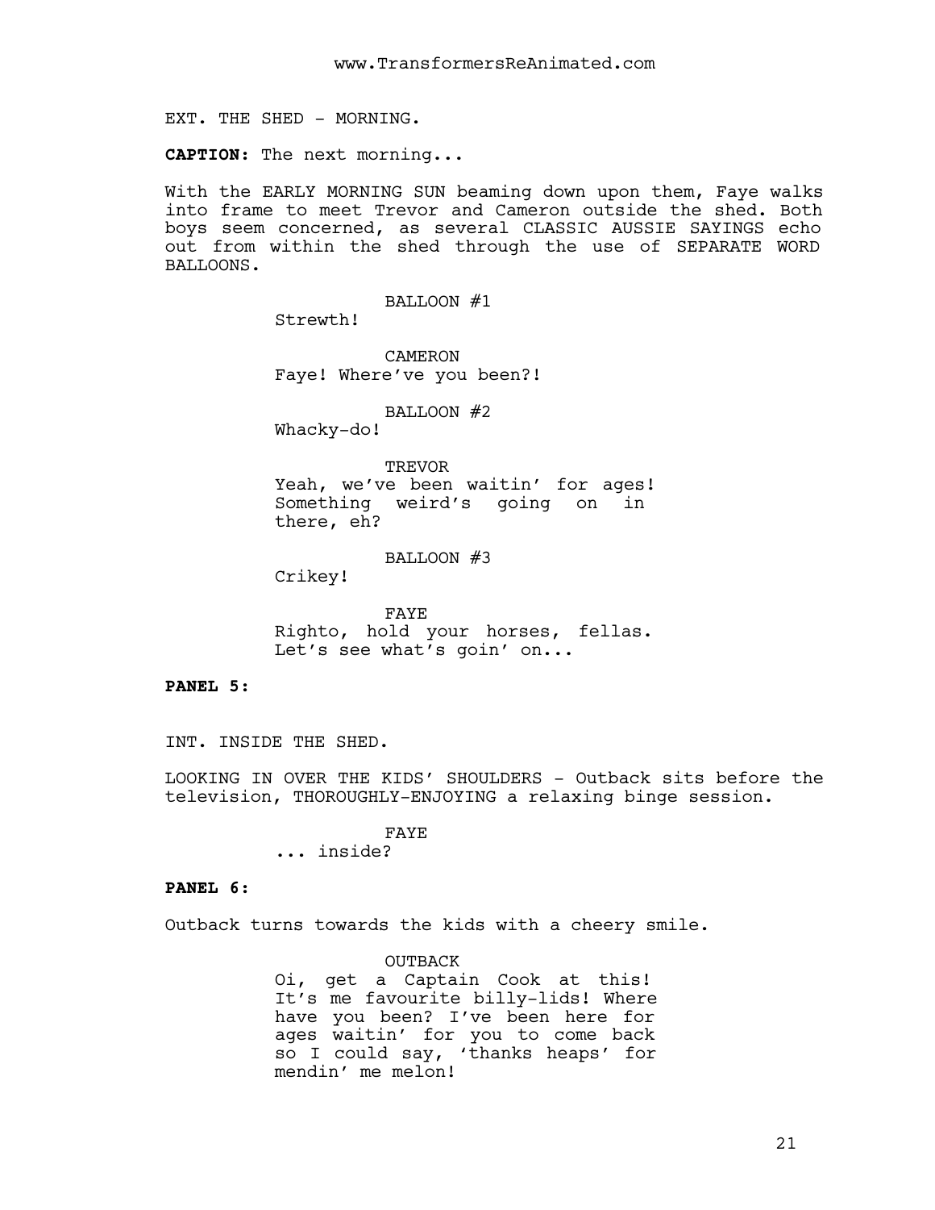EXT. THE SHED - MORNING.

**CAPTION:** The next morning...

With the EARLY MORNING SUN beaming down upon them, Faye walks into frame to meet Trevor and Cameron outside the shed. Both boys seem concerned, as several CLASSIC AUSSIE SAYINGS echo out from within the shed through the use of SEPARATE WORD BALLOONS.

BALLOON #1

Strewth!

CAMERON Faye! Where've you been?!

BALLOON #2

Whacky-do!

TREVOR Yeah, we've been waitin' for ages! Something weird's going on in there, eh?

BALLOON #3

Crikey!

FAYE Righto, hold your horses, fellas. Let's see what's goin' on...

#### **PANEL 5:**

INT. INSIDE THE SHED.

LOOKING IN OVER THE KIDS' SHOULDERS - Outback sits before the television, THOROUGHLY-ENJOYING a relaxing binge session.

> FAYE ... inside?

#### **PANEL 6:**

Outback turns towards the kids with a cheery smile.

OUTBACK Oi, get a Captain Cook at this! It's me favourite billy-lids! Where have you been? I've been here for ages waitin' for you to come back so I could say, 'thanks heaps' for mendin' me melon!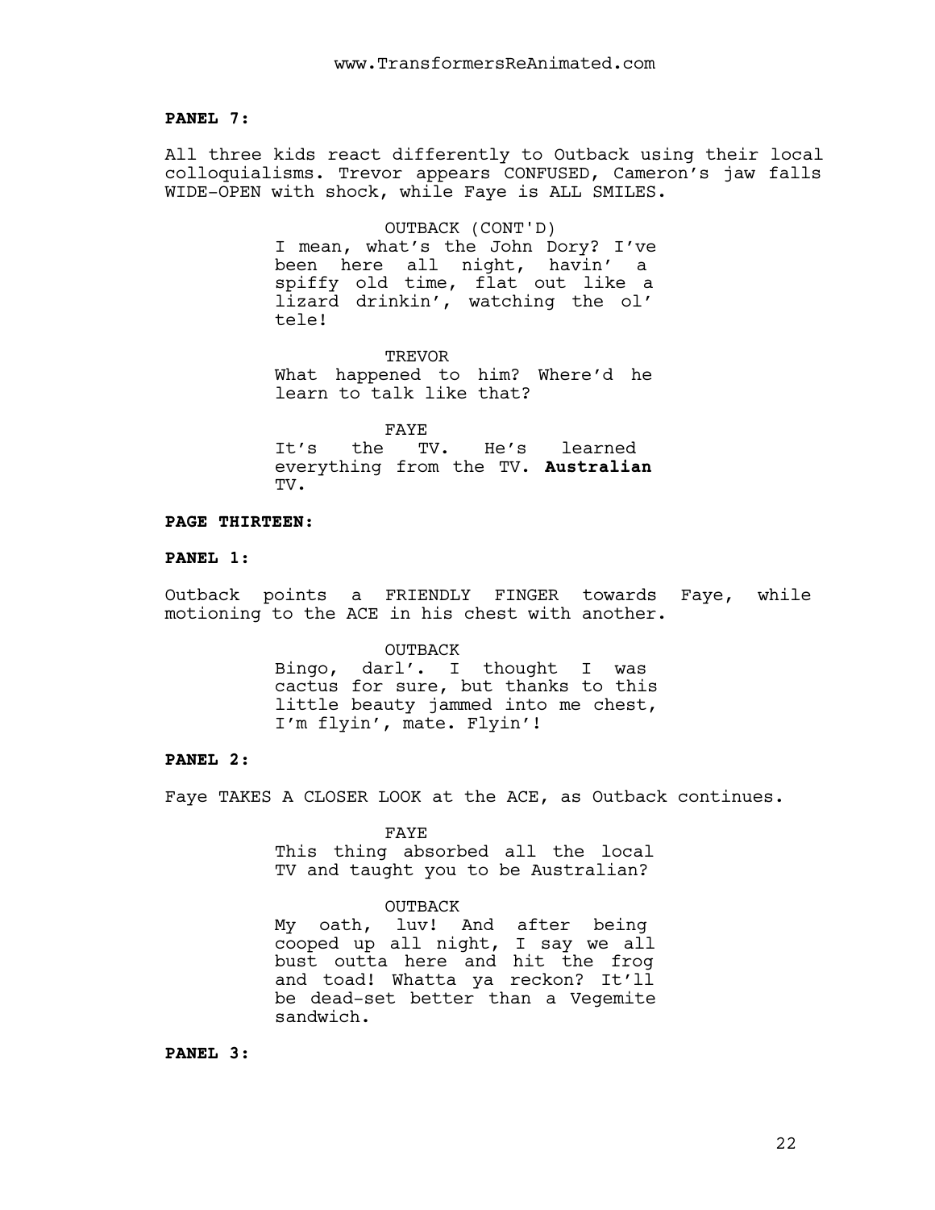**PANEL 7:**

All three kids react differently to Outback using their local colloquialisms. Trevor appears CONFUSED, Cameron's jaw falls WIDE-OPEN with shock, while Faye is ALL SMILES.

> OUTBACK (CONT'D) I mean, what's the John Dory? I've been here all night, havin' a spiffy old time, flat out like a lizard drinkin', watching the ol'

> TREVOR What happened to him? Where'd he learn to talk like that?

> FAYE It's the TV. He's learned everything from the TV. **Australian** TV.

### **PAGE THIRTEEN:**

tele!

# **PANEL 1:**

Outback points a FRIENDLY FINGER towards Faye, while motioning to the ACE in his chest with another.

> OUTBACK Bingo, darl'. I thought I was cactus for sure, but thanks to this little beauty jammed into me chest, I'm flyin', mate. Flyin'!

# **PANEL 2:**

Faye TAKES A CLOSER LOOK at the ACE, as Outback continues.

#### FAYE

This thing absorbed all the local TV and taught you to be Australian?

#### OUTBACK

My oath, luv! And after being cooped up all night, I say we all bust outta here and hit the frog and toad! Whatta ya reckon? It'll be dead-set better than a Vegemite sandwich.

#### **PANEL 3:**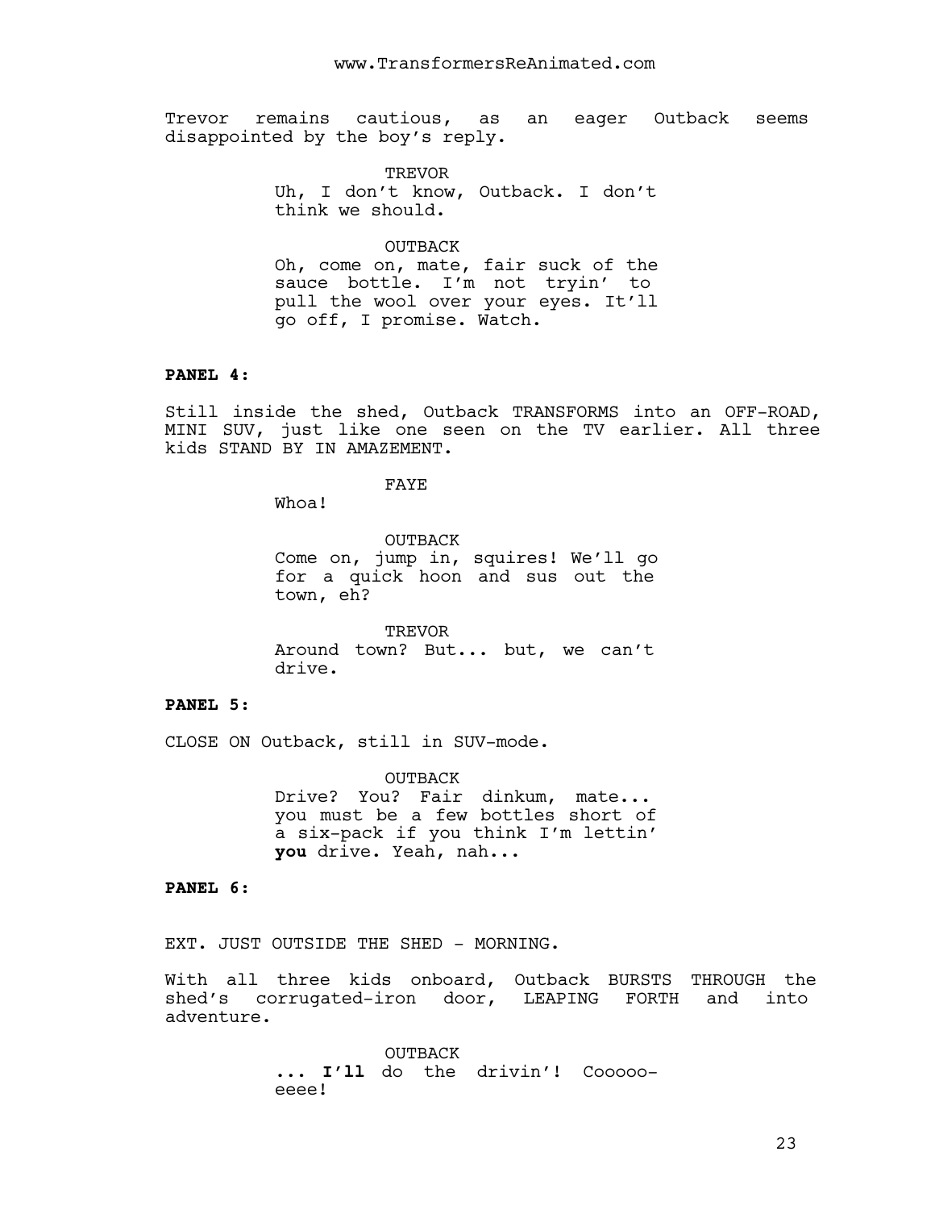Trevor remains cautious, as an eager Outback seems disappointed by the boy's reply.

> TREVOR Uh, I don't know, Outback. I don't think we should.

> OUTBACK Oh, come on, mate, fair suck of the sauce bottle. I'm not tryin' to pull the wool over your eyes. It'll go off, I promise. Watch.

### **PANEL 4:**

Still inside the shed, Outback TRANSFORMS into an OFF-ROAD, MINI SUV, just like one seen on the TV earlier. All three kids STAND BY IN AMAZEMENT.

FAYE

Whoa!

OUTBACK Come on, jump in, squires! We'll go for a quick hoon and sus out the town, eh?

TREVOR Around town? But... but, we can't drive.

### **PANEL 5:**

CLOSE ON Outback, still in SUV-mode.

OUTBACK Drive? You? Fair dinkum, mate... you must be a few bottles short of a six-pack if you think I'm lettin' **you** drive. Yeah, nah...

**PANEL 6:**

EXT. JUST OUTSIDE THE SHED - MORNING.

With all three kids onboard, Outback BURSTS THROUGH the shed's corrugated-iron door, LEAPING FORTH and into adventure.

> OUTBACK ... **I'll** do the drivin'! Coooooeeee!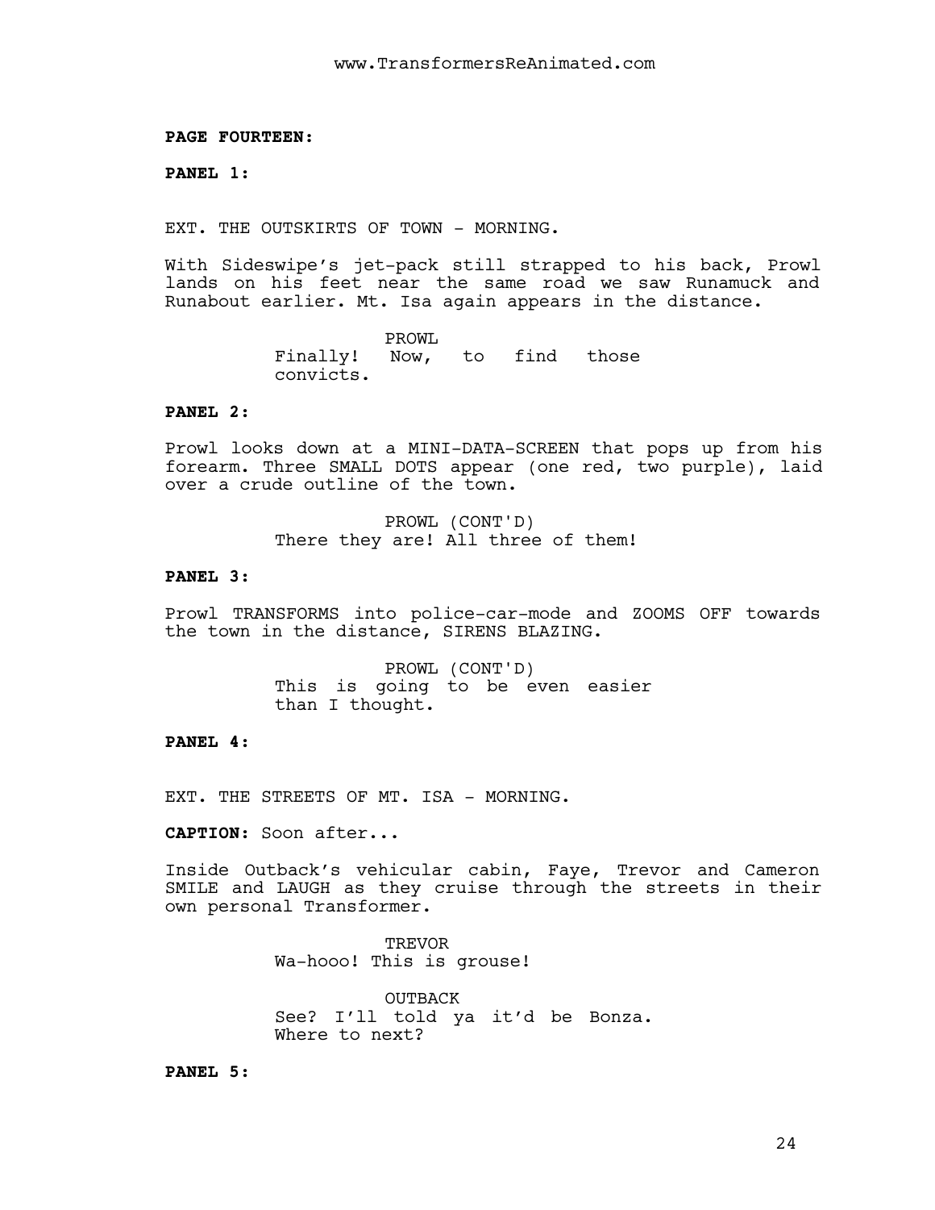**PAGE FOURTEEN:**

**PANEL 1:**

EXT. THE OUTSKIRTS OF TOWN - MORNING.

With Sideswipe's jet-pack still strapped to his back, Prowl lands on his feet near the same road we saw Runamuck and Runabout earlier. Mt. Isa again appears in the distance.

> PROWL Finally! Now, to find those convicts.

# **PANEL 2:**

Prowl looks down at a MINI-DATA-SCREEN that pops up from his forearm. Three SMALL DOTS appear (one red, two purple), laid over a crude outline of the town.

> PROWL (CONT'D) There they are! All three of them!

#### **PANEL 3:**

Prowl TRANSFORMS into police-car-mode and ZOOMS OFF towards the town in the distance, SIRENS BLAZING.

> PROWL (CONT'D) This is going to be even easier than I thought.

### **PANEL 4:**

EXT. THE STREETS OF MT. ISA - MORNING.

**CAPTION:** Soon after...

Inside Outback's vehicular cabin, Faye, Trevor and Cameron SMILE and LAUGH as they cruise through the streets in their own personal Transformer.

> **TREVOR** Wa-hooo! This is grouse!

OUTBACK See? I'll told ya it'd be Bonza. Where to next?

**PANEL 5:**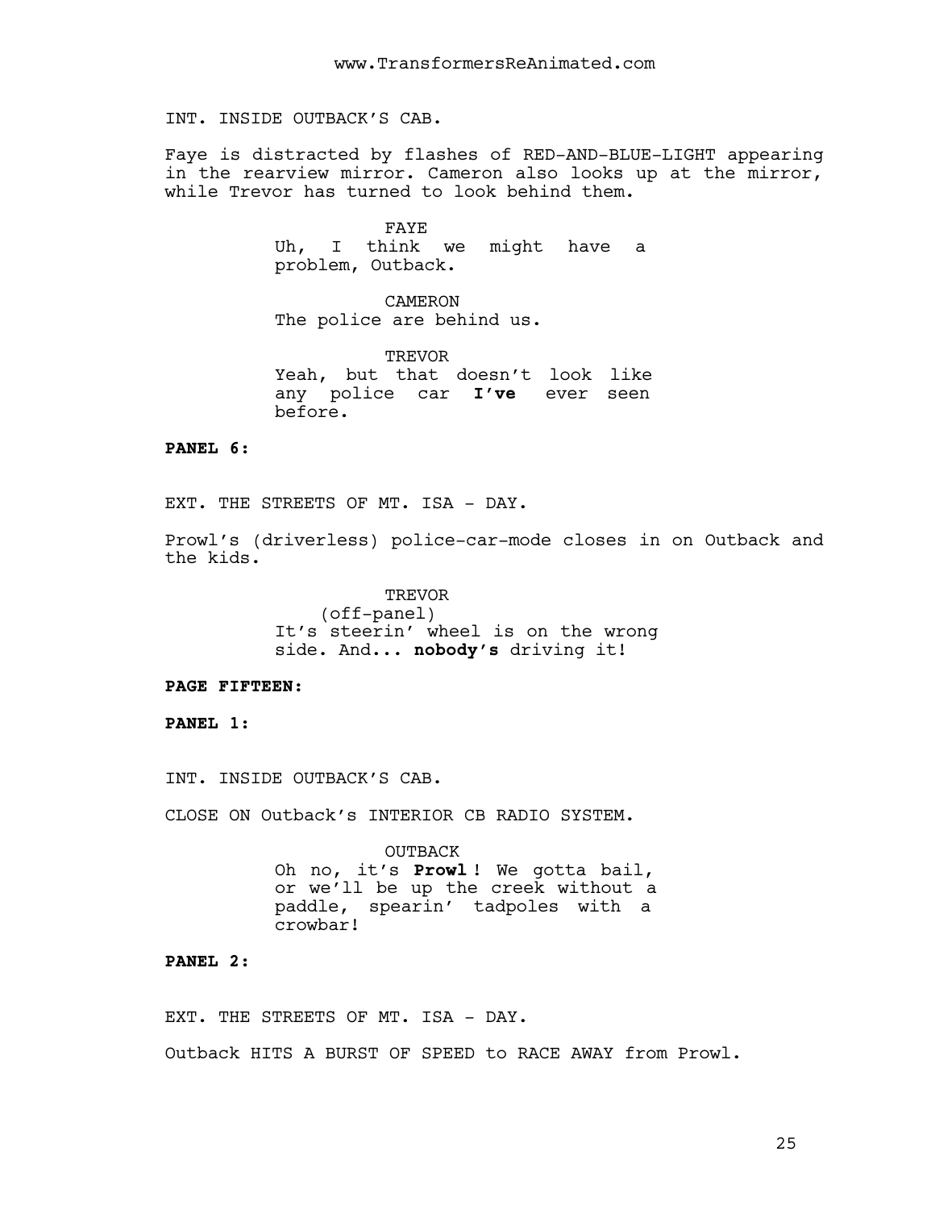INT. INSIDE OUTBACK'S CAB.

Faye is distracted by flashes of RED-AND-BLUE-LIGHT appearing in the rearview mirror. Cameron also looks up at the mirror, while Trevor has turned to look behind them.

> FAYE Uh, I think we might have a problem, Outback.

CAMERON The police are behind us.

TREVOR Yeah, but that doesn't look like any police car **I've** ever seen before.

**PANEL 6:**

EXT. THE STREETS OF MT. ISA - DAY.

Prowl's (driverless) police-car-mode closes in on Outback and the kids.

> **TREVOR** (off-panel) It's steerin' wheel is on the wrong side. And... **nobody's** driving it!

#### **PAGE FIFTEEN:**

**PANEL 1:**

INT. INSIDE OUTBACK'S CAB.

CLOSE ON Outback's INTERIOR CB RADIO SYSTEM.

OUTBACK Oh no, it's **Prowl** ! We gotta bail, or we'll be up the creek without a paddle, spearin' tadpoles with a crowbar!

**PANEL 2:**

EXT. THE STREETS OF MT. ISA - DAY.

Outback HITS A BURST OF SPEED to RACE AWAY from Prowl.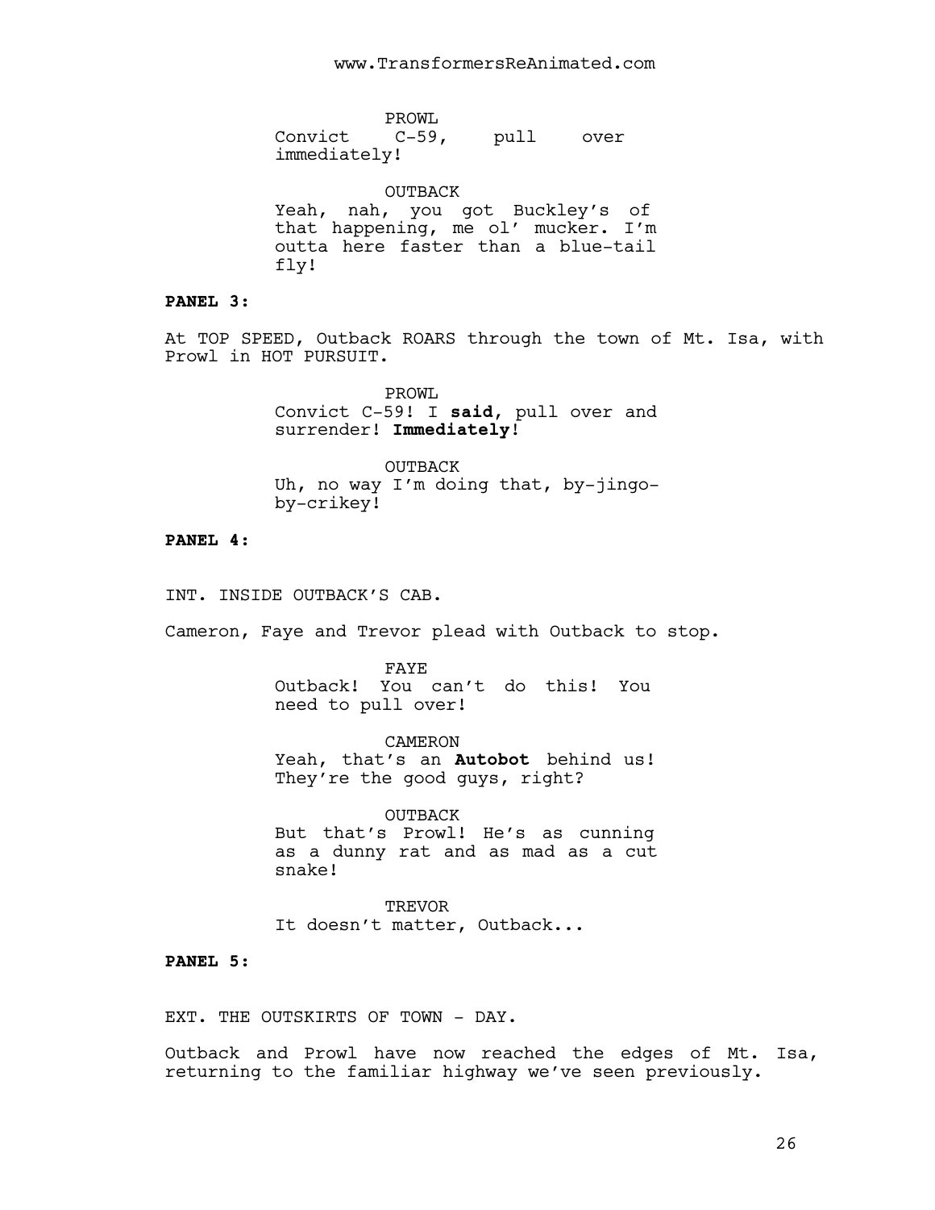PROWL Convict C-59, pull over immediately!

OUTBACK Yeah, nah, you got Buckley's of that happening, me ol' mucker. I'm outta here faster than a blue-tail fly!

# **PANEL 3:**

At TOP SPEED, Outback ROARS through the town of Mt. Isa, with Prowl in HOT PURSUIT.

> PROWL. Convict C-59! I **said**, pull over and surrender! **Immediately**!

> OUTBACK Uh, no way I'm doing that, by-jingoby-crikey!

## **PANEL 4:**

INT. INSIDE OUTBACK'S CAB.

Cameron, Faye and Trevor plead with Outback to stop.

FAYE Outback! You can't do this! You need to pull over!

CAMERON Yeah, that's an **Autobot** behind us! They're the good guys, right?

OUTBACK But that's Prowl! He's as cunning as a dunny rat and as mad as a cut snake!

TREVOR It doesn't matter, Outback...

# **PANEL 5:**

EXT. THE OUTSKIRTS OF TOWN - DAY.

Outback and Prowl have now reached the edges of Mt. Isa, returning to the familiar highway we've seen previously.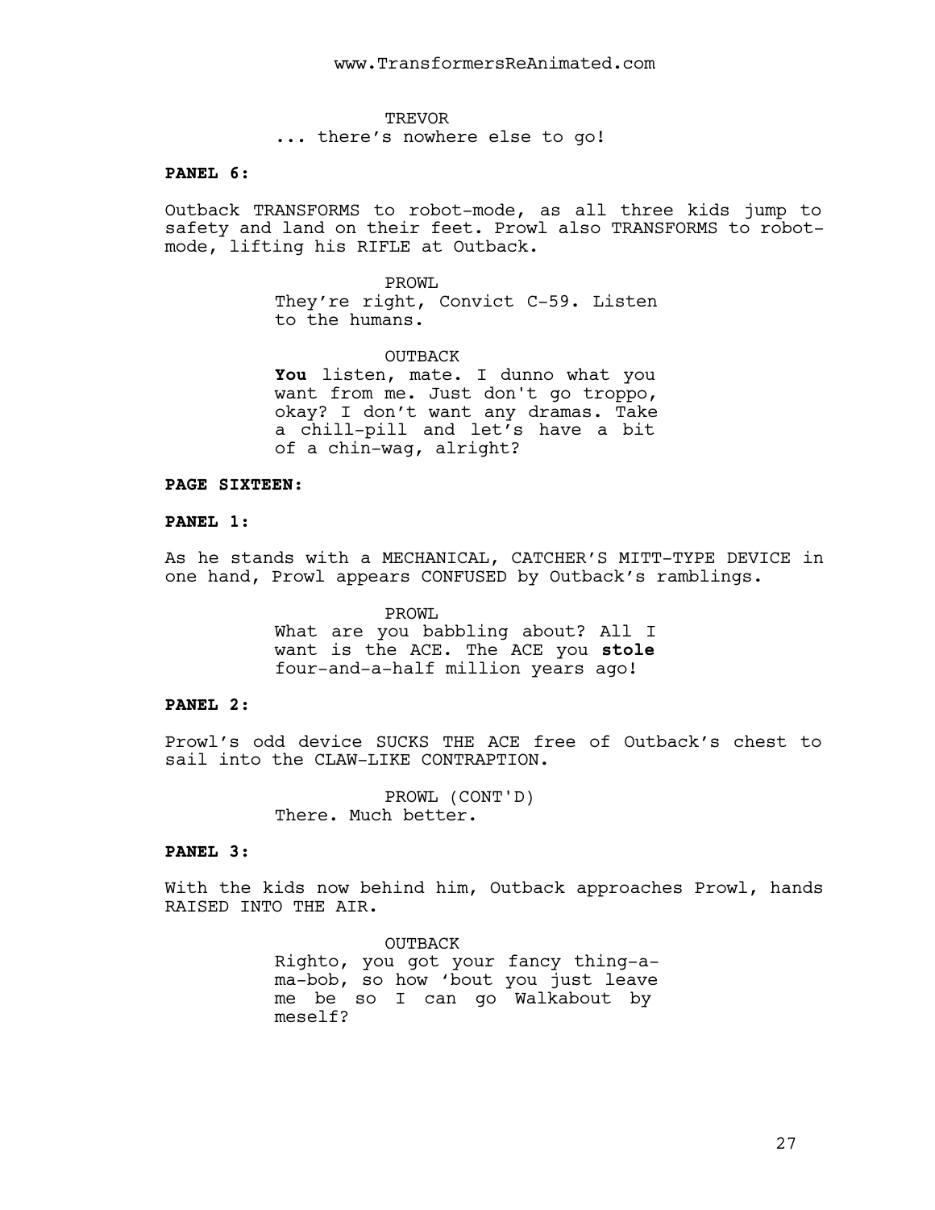**TREVOR** ... there's nowhere else to go!

#### **PANEL 6:**

Outback TRANSFORMS to robot-mode, as all three kids jump to safety and land on their feet. Prowl also TRANSFORMS to robotmode, lifting his RIFLE at Outback.

> PROWL They're right, Convict C-59. Listen to the humans.

> OUTBACK **You** listen, mate. I dunno what you want from me. Just don't go troppo, okay? I don't want any dramas. Take a chill-pill and let's have a bit of a chin-wag, alright?

#### **PAGE SIXTEEN:**

### **PANEL 1:**

As he stands with a MECHANICAL, CATCHER'S MITT-TYPE DEVICE in one hand, Prowl appears CONFUSED by Outback's ramblings.

> PROWL What are you babbling about? All I want is the ACE. The ACE you **stole** four-and-a-half million years ago!

### **PANEL 2:**

Prowl's odd device SUCKS THE ACE free of Outback's chest to sail into the CLAW-LIKE CONTRAPTION.

> PROWL (CONT'D) There. Much better.

### **PANEL 3:**

With the kids now behind him, Outback approaches Prowl, hands RAISED INTO THE AIR.

> OUTBACK Righto, you got your fancy thing-ama-bob, so how 'bout you just leave me be so I can go Walkabout by meself?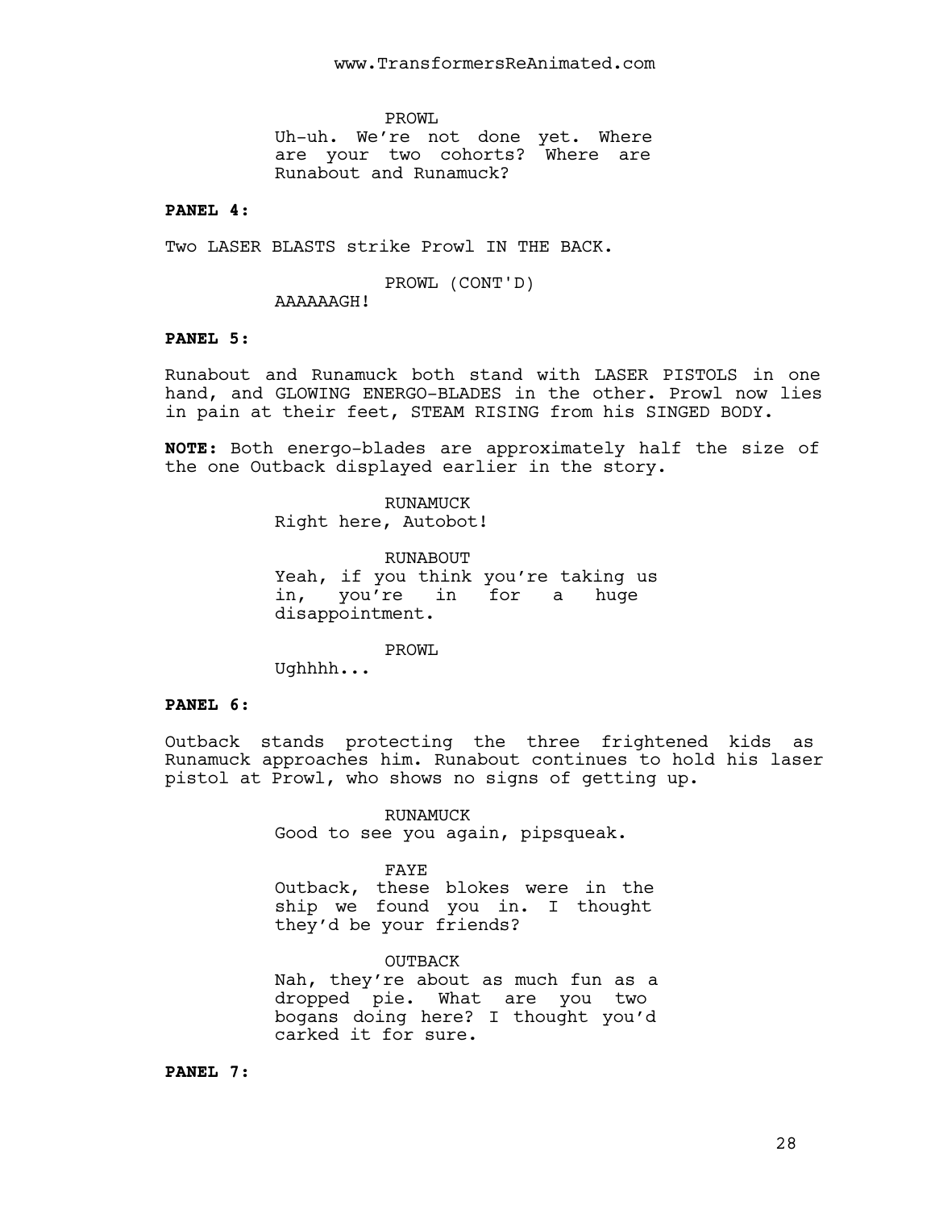PROWL

Uh-uh. We're not done yet. Where are your two cohorts? Where are Runabout and Runamuck?

# **PANEL 4:**

Two LASER BLASTS strike Prowl IN THE BACK.

PROWL (CONT'D)

AAAAAAGH!

### **PANEL 5:**

Runabout and Runamuck both stand with LASER PISTOLS in one hand, and GLOWING ENERGO-BLADES in the other. Prowl now lies in pain at their feet, STEAM RISING from his SINGED BODY.

**NOTE:** Both energo-blades are approximately half the size of the one Outback displayed earlier in the story.

> RUNAMUCK Right here, Autobot!

RUNABOUT Yeah, if you think you're taking us in, you're in for a huge disappointment.

PROWL

Ughhhh...

# **PANEL 6:**

Outback stands protecting the three frightened kids as Runamuck approaches him. Runabout continues to hold his laser pistol at Prowl, who shows no signs of getting up.

> RUNAMUCK Good to see you again, pipsqueak.

> > FAYE

Outback, these blokes were in the ship we found you in. I thought they'd be your friends?

OUTBACK Nah, they're about as much fun as a dropped pie. What are you two bogans doing here? I thought you'd carked it for sure.

# **PANEL 7:**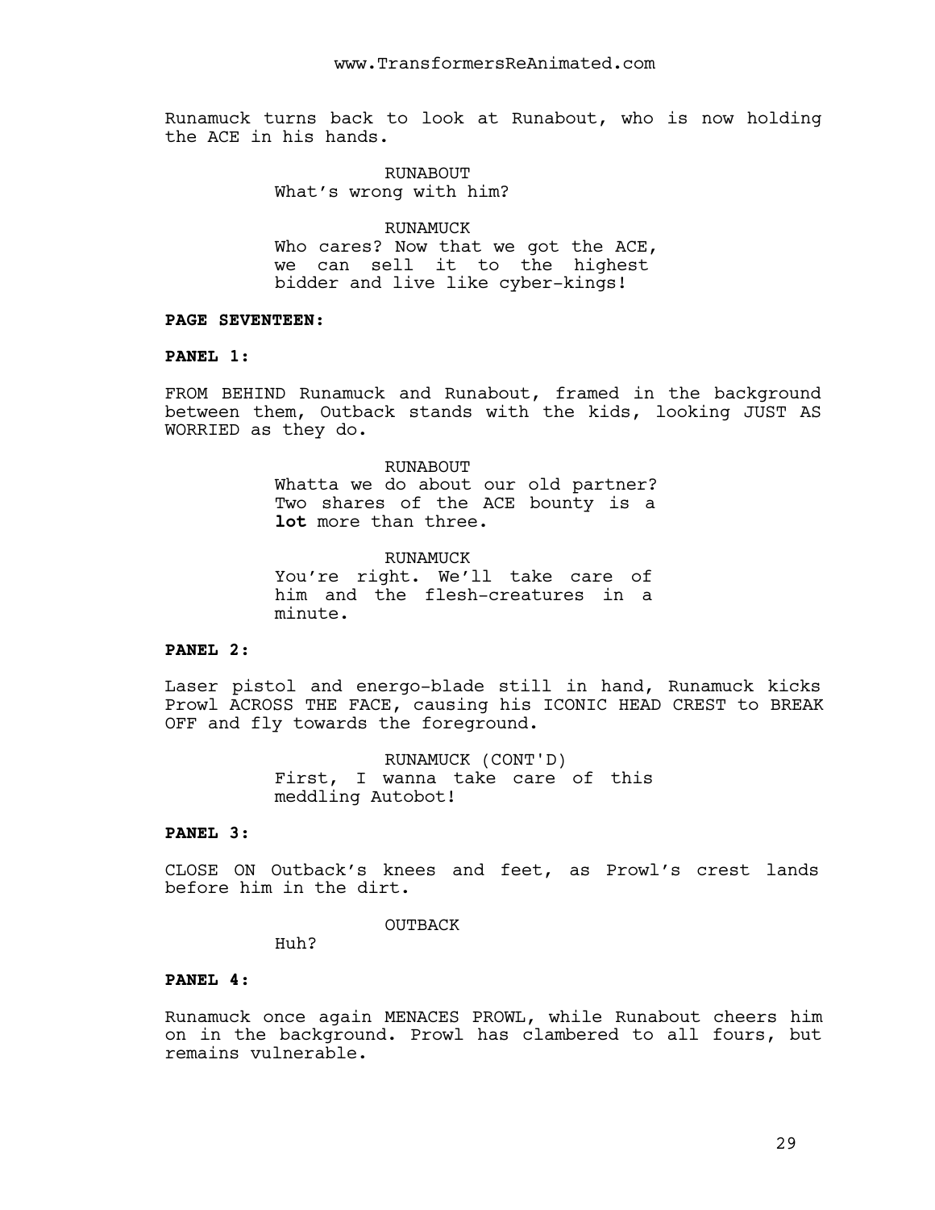Runamuck turns back to look at Runabout, who is now holding the ACE in his hands.

> RUNABOUT What's wrong with him?

RUNAMUCK Who cares? Now that we got the ACE, we can sell it to the highest bidder and live like cyber-kings!

### **PAGE SEVENTEEN:**

# **PANEL 1:**

FROM BEHIND Runamuck and Runabout, framed in the background between them, Outback stands with the kids, looking JUST AS WORRIED as they do.

> RUNABOUT Whatta we do about our old partner? Two shares of the ACE bounty is a **lot** more than three.

> RUNAMUCK You're right. We'll take care of him and the flesh-creatures in a minute.

### **PANEL 2:**

Laser pistol and energo-blade still in hand, Runamuck kicks Prowl ACROSS THE FACE, causing his ICONIC HEAD CREST to BREAK OFF and fly towards the foreground.

> RUNAMUCK (CONT'D) First, I wanna take care of this meddling Autobot!

# **PANEL 3:**

CLOSE ON Outback's knees and feet, as Prowl's crest lands before him in the dirt.

OUTBACK

Huh?

#### **PANEL 4:**

Runamuck once again MENACES PROWL, while Runabout cheers him on in the background. Prowl has clambered to all fours, but remains vulnerable.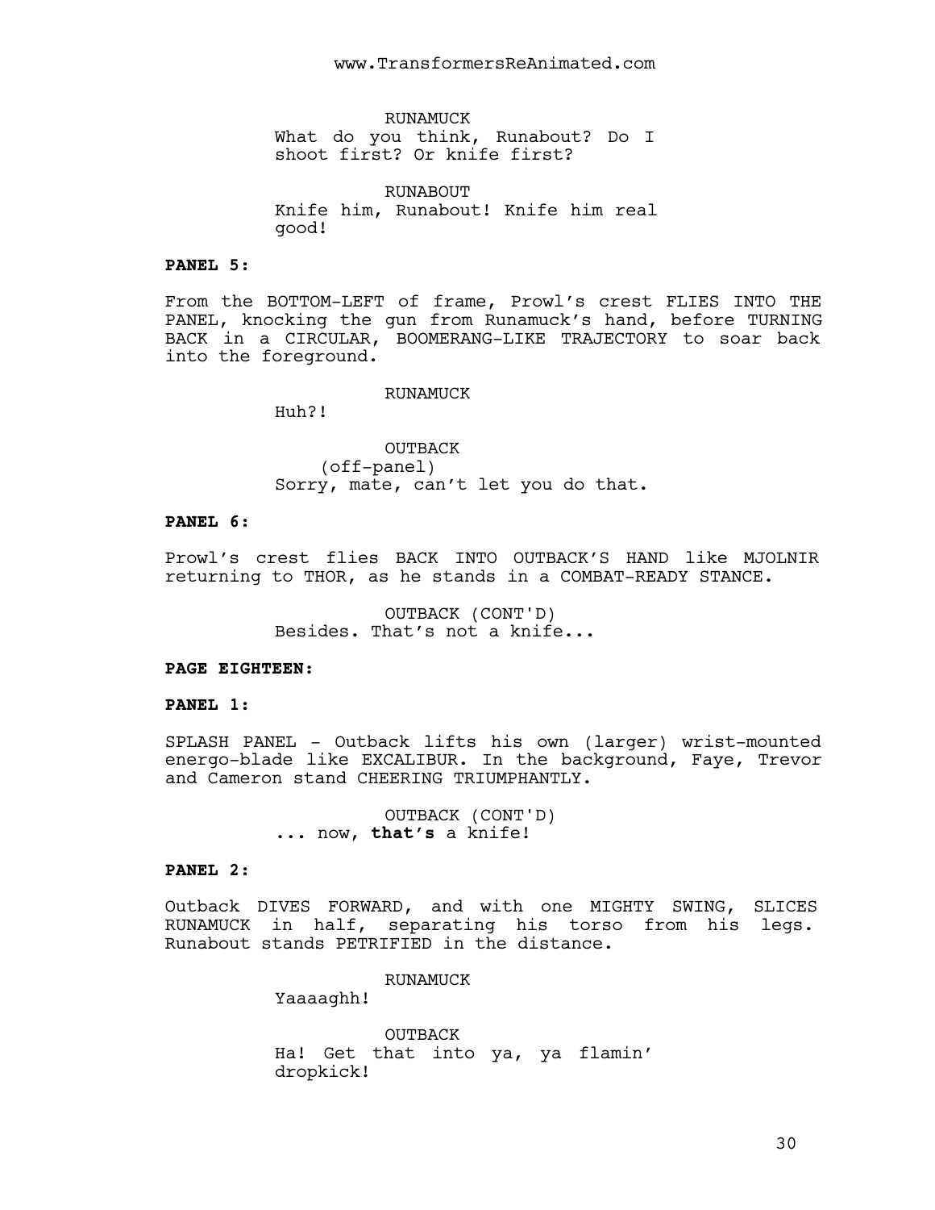RUNAMUCK What do you think, Runabout? Do I shoot first? Or knife first?

RUNABOUT Knife him, Runabout! Knife him real good!

# **PANEL 5:**

From the BOTTOM-LEFT of frame, Prowl's crest FLIES INTO THE PANEL, knocking the gun from Runamuck's hand, before TURNING BACK in a CIRCULAR, BOOMERANG-LIKE TRAJECTORY to soar back into the foreground.

RUNAMUCK

Huh?!

OUTBACK (off-panel) Sorry, mate, can't let you do that.

# **PANEL 6:**

Prowl's crest flies BACK INTO OUTBACK'S HAND like MJOLNIR returning to THOR, as he stands in a COMBAT-READY STANCE.

> OUTBACK (CONT'D) Besides. That's not a knife...

# **PAGE EIGHTEEN:**

### **PANEL 1:**

SPLASH PANEL - Outback lifts his own (larger) wrist-mounted energo-blade like EXCALIBUR. In the background, Faye, Trevor and Cameron stand CHEERING TRIUMPHANTLY.

> OUTBACK (CONT'D) ... now, **that's** a knife!

# **PANEL 2:**

Outback DIVES FORWARD, and with one MIGHTY SWING, SLICES RUNAMUCK in half, separating his torso from his legs. Runabout stands PETRIFIED in the distance.

RUNAMUCK

Yaaaaghh!

OUTBACK Ha! Get that into ya, ya flamin' dropkick!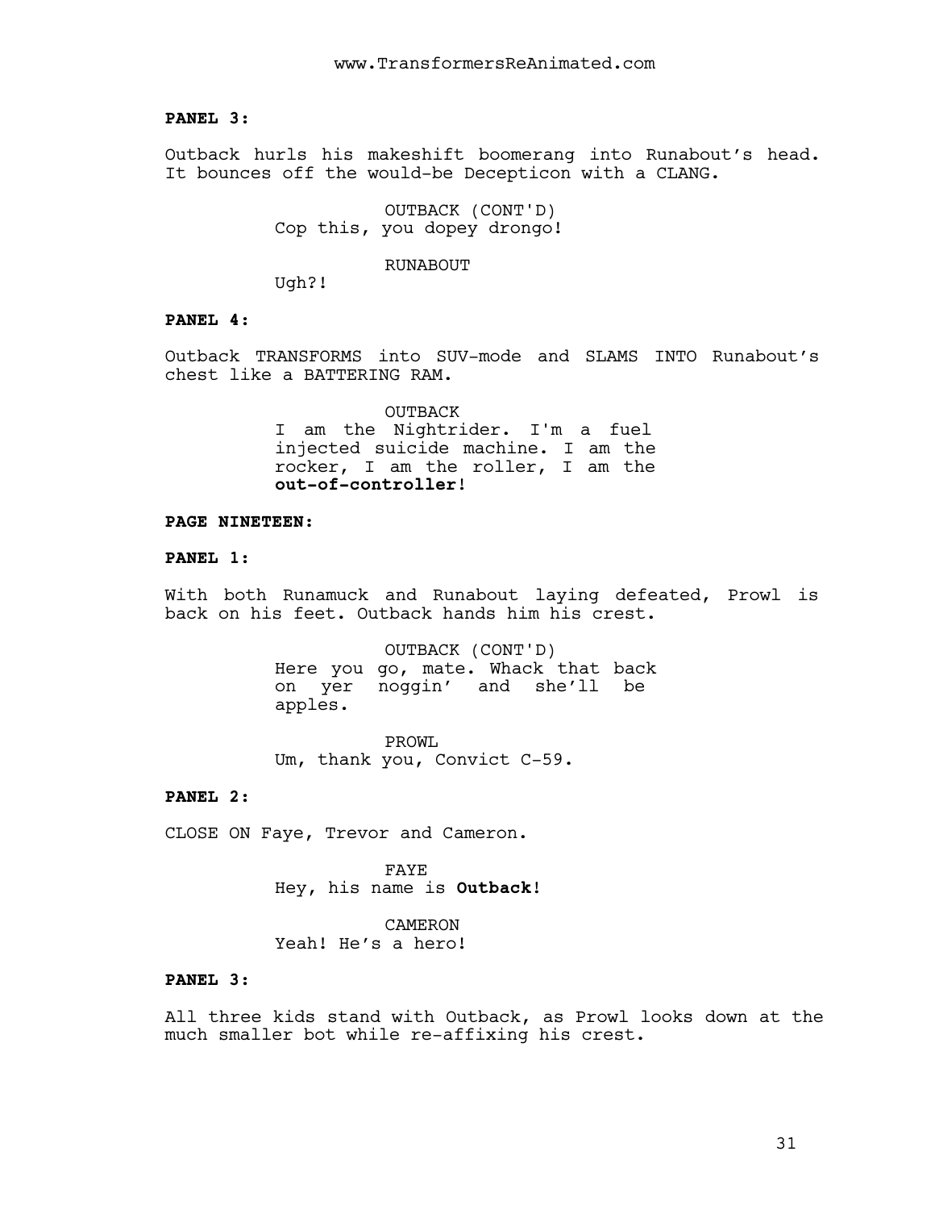### **PANEL 3:**

Outback hurls his makeshift boomerang into Runabout's head. It bounces off the would-be Decepticon with a CLANG.

> OUTBACK (CONT'D) Cop this, you dopey drongo!

#### RUNABOUT

Ugh?!

# **PANEL 4:**

Outback TRANSFORMS into SUV-mode and SLAMS INTO Runabout's chest like a BATTERING RAM.

> OUTBACK I am the Nightrider. I'm a fuel injected suicide machine. I am the rocker, I am the roller, I am the **out-of-controller**!

# **PAGE NINETEEN:**

# **PANEL 1:**

With both Runamuck and Runabout laying defeated, Prowl is back on his feet. Outback hands him his crest.

> OUTBACK (CONT'D) Here you go, mate. Whack that back on yer noggin' and she'll be apples.

PROWL Um, thank you, Convict C-59.

#### **PANEL 2:**

CLOSE ON Faye, Trevor and Cameron.

FAYE Hey, his name is **Outback**!

CAMERON Yeah! He's a hero!

#### **PANEL 3:**

All three kids stand with Outback, as Prowl looks down at the much smaller bot while re-affixing his crest.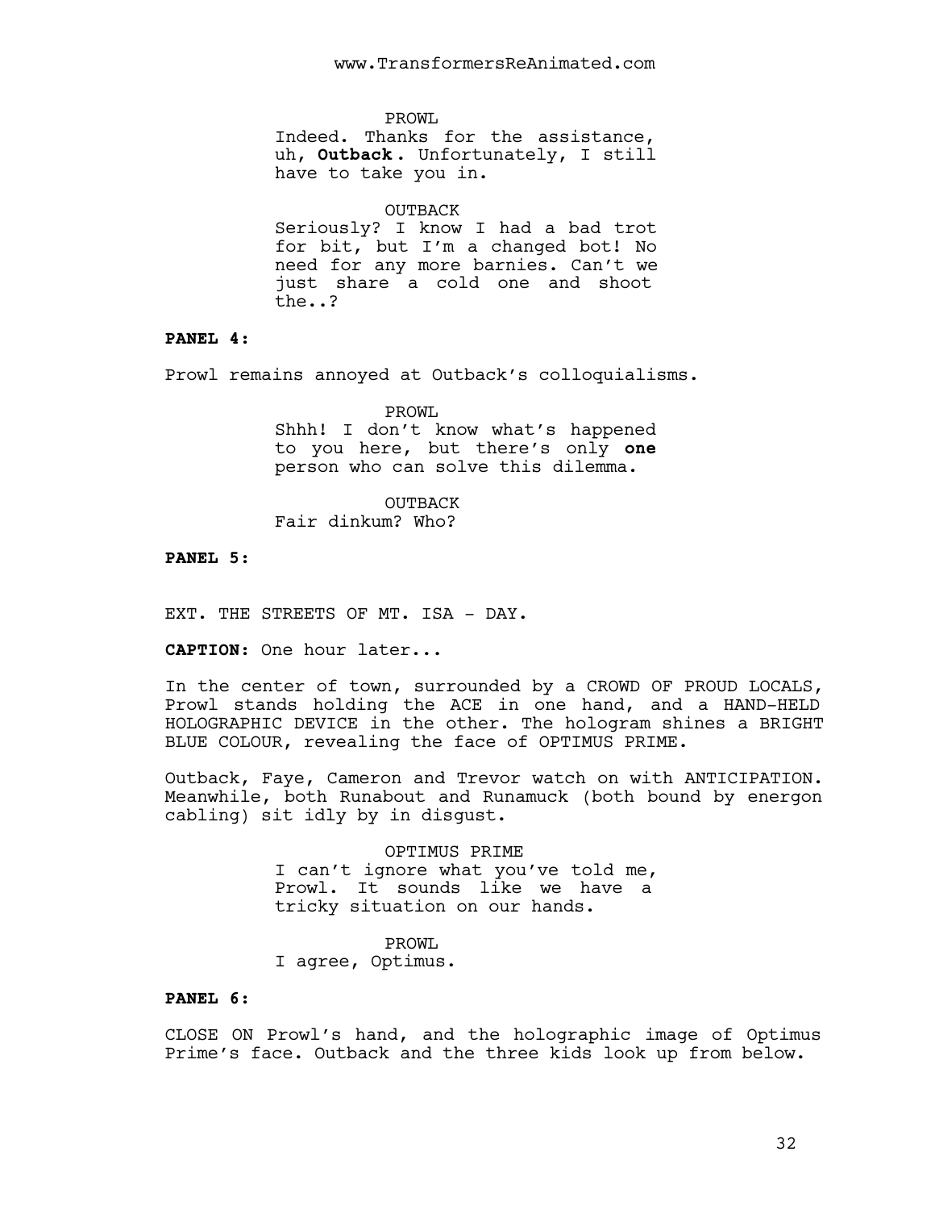PROWL.

Indeed. Thanks for the assistance, uh, **Outback**. Unfortunately, I still have to take you in.

OUTBACK

Seriously? I know I had a bad trot for bit, but I'm a changed bot! No need for any more barnies. Can't we just share a cold one and shoot the..?

# **PANEL 4:**

Prowl remains annoyed at Outback's colloquialisms.

PROWL Shhh! I don't know what's happened to you here, but there's only **one** person who can solve this dilemma.

OUTBACK Fair dinkum? Who?

**PANEL 5:**

EXT. THE STREETS OF MT. ISA - DAY.

**CAPTION:** One hour later...

In the center of town, surrounded by a CROWD OF PROUD LOCALS, Prowl stands holding the ACE in one hand, and a HAND-HELD HOLOGRAPHIC DEVICE in the other. The hologram shines a BRIGHT BLUE COLOUR, revealing the face of OPTIMUS PRIME.

Outback, Faye, Cameron and Trevor watch on with ANTICIPATION. Meanwhile, both Runabout and Runamuck (both bound by energon cabling) sit idly by in disgust.

> OPTIMUS PRIME I can't ignore what you've told me, Prowl. It sounds like we have a tricky situation on our hands.

PROWL I agree, Optimus.

#### **PANEL 6:**

CLOSE ON Prowl's hand, and the holographic image of Optimus Prime's face. Outback and the three kids look up from below.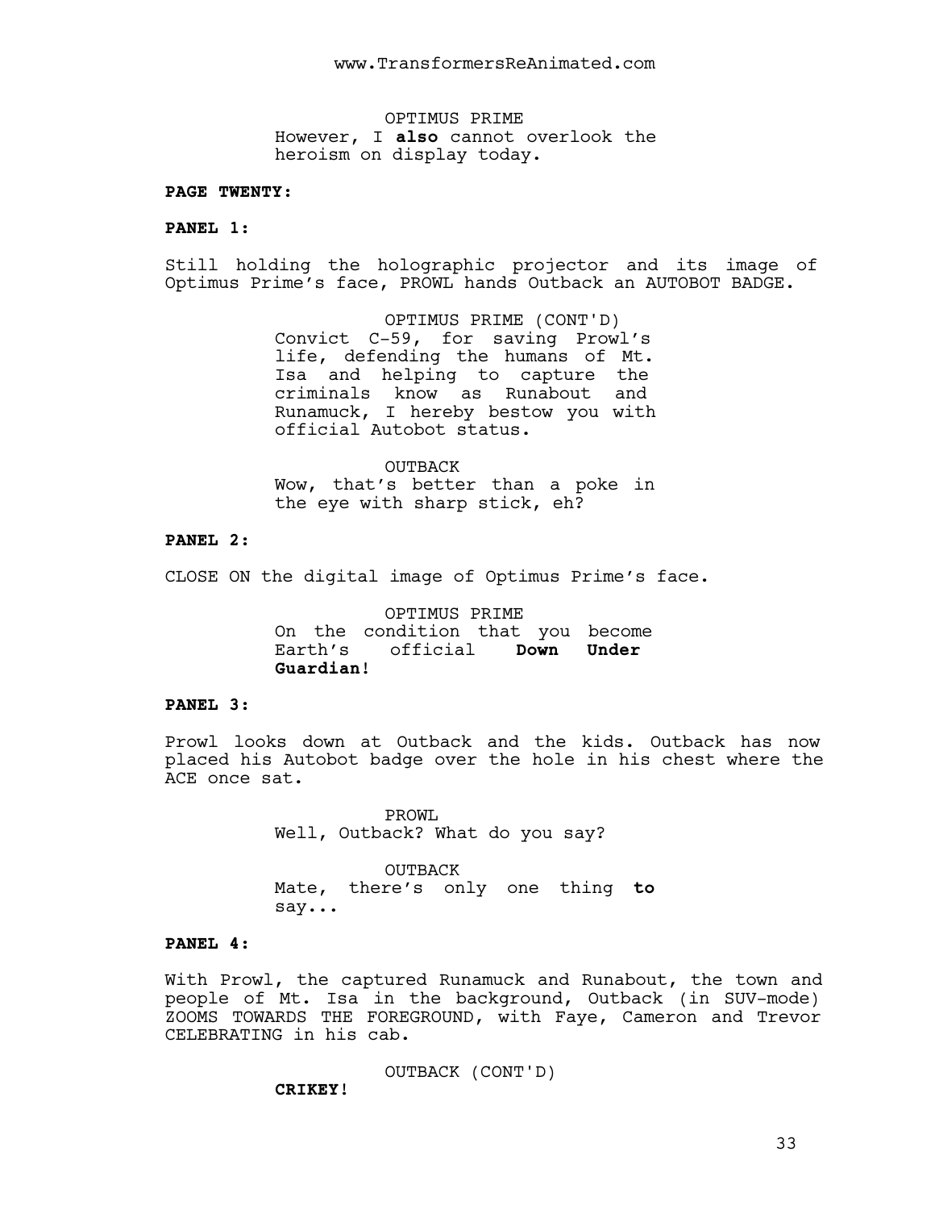OPTIMUS PRIME However, I **also** cannot overlook the heroism on display today.

#### **PAGE TWENTY:**

# **PANEL 1:**

Still holding the holographic projector and its image of Optimus Prime's face, PROWL hands Outback an AUTOBOT BADGE.

> OPTIMUS PRIME (CONT'D) Convict C-59, for saving Prowl's life, defending the humans of Mt. Isa and helping to capture the criminals know as Runabout and Runamuck, I hereby bestow you with official Autobot status.

> OUTBACK Wow, that's better than a poke in the eye with sharp stick, eh?

## **PANEL 2:**

CLOSE ON the digital image of Optimus Prime's face.

OPTIMUS PRIME On the condition that you become Earth's official **Down Under Guardian**!

# **PANEL 3:**

Prowl looks down at Outback and the kids. Outback has now placed his Autobot badge over the hole in his chest where the ACE once sat.

> PROWL Well, Outback? What do you say?

OUTBACK Mate, there's only one thing **to** say...

# **PANEL 4:**

With Prowl, the captured Runamuck and Runabout, the town and people of Mt. Isa in the background, Outback (in SUV-mode) ZOOMS TOWARDS THE FOREGROUND, with Faye, Cameron and Trevor CELEBRATING in his cab.

OUTBACK (CONT'D)

**CRIKEY**!